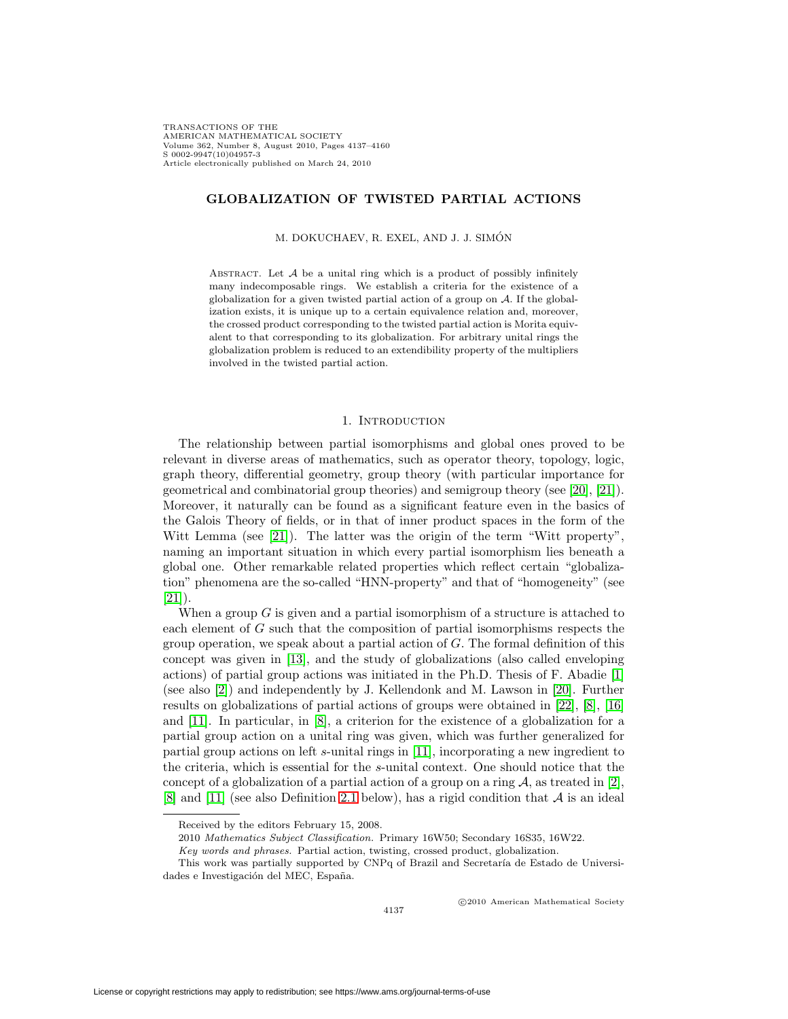TRANSACTIONS OF THE AMERICAN MATHEMATICAL SOCIETY Volume 362, Number 8, August 2010, Pages 4137–4160 S 0002-9947(10)04957-3 Article electronically published on March 24, 2010

# **GLOBALIZATION OF TWISTED PARTIAL ACTIONS**

### M. DOKUCHAEV, R. EXEL, AND J. J. SIMÓN

ABSTRACT. Let  $A$  be a unital ring which is a product of possibly infinitely many indecomposable rings. We establish a criteria for the existence of a globalization for a given twisted partial action of a group on  $A$ . If the globalization exists, it is unique up to a certain equivalence relation and, moreover, the crossed product corresponding to the twisted partial action is Morita equivalent to that corresponding to its globalization. For arbitrary unital rings the globalization problem is reduced to an extendibility property of the multipliers involved in the twisted partial action.

### 1. INTRODUCTION

The relationship between partial isomorphisms and global ones proved to be relevant in diverse areas of mathematics, such as operator theory, topology, logic, graph theory, differential geometry, group theory (with particular importance for geometrical and combinatorial group theories) and semigroup theory (see [\[20\]](#page-23-0), [\[21\]](#page-23-1)). Moreover, it naturally can be found as a significant feature even in the basics of the Galois Theory of fields, or in that of inner product spaces in the form of the Witt Lemma (see [\[21\]](#page-23-1)). The latter was the origin of the term "Witt property", naming an important situation in which every partial isomorphism lies beneath a global one. Other remarkable related properties which reflect certain "globalization" phenomena are the so-called "HNN-property" and that of "homogeneity" (see  $[21]$ ).

When a group  $G$  is given and a partial isomorphism of a structure is attached to each element of G such that the composition of partial isomorphisms respects the group operation, we speak about a partial action of  $G$ . The formal definition of this concept was given in [\[13\]](#page-23-2), and the study of globalizations (also called enveloping actions) of partial group actions was initiated in the Ph.D. Thesis of F. Abadie [\[1\]](#page-22-0) (see also [\[2\]](#page-22-1)) and independently by J. Kellendonk and M. Lawson in [\[20\]](#page-23-0). Further results on globalizations of partial actions of groups were obtained in [\[22\]](#page-23-3), [\[8\]](#page-22-2), [\[16\]](#page-23-4) and [\[11\]](#page-23-5). In particular, in [\[8\]](#page-22-2), a criterion for the existence of a globalization for a partial group action on a unital ring was given, which was further generalized for partial group actions on left s-unital rings in [\[11\]](#page-23-5), incorporating a new ingredient to the criteria, which is essential for the s-unital context. One should notice that the concept of a globalization of a partial action of a group on a ring  $A$ , as treated in [\[2\]](#page-22-1), [\[8\]](#page-22-2) and [\[11\]](#page-23-5) (see also Definition [2.1](#page-2-0) below), has a rigid condition that  $A$  is an ideal

-c 2010 American Mathematical Society

Received by the editors February 15, 2008.

<sup>2010</sup> Mathematics Subject Classification. Primary 16W50; Secondary 16S35, 16W22.

Key words and phrases. Partial action, twisting, crossed product, globalization.

This work was partially supported by CNPq of Brazil and Secretaría de Estado de Universidades e Investigación del MEC, España.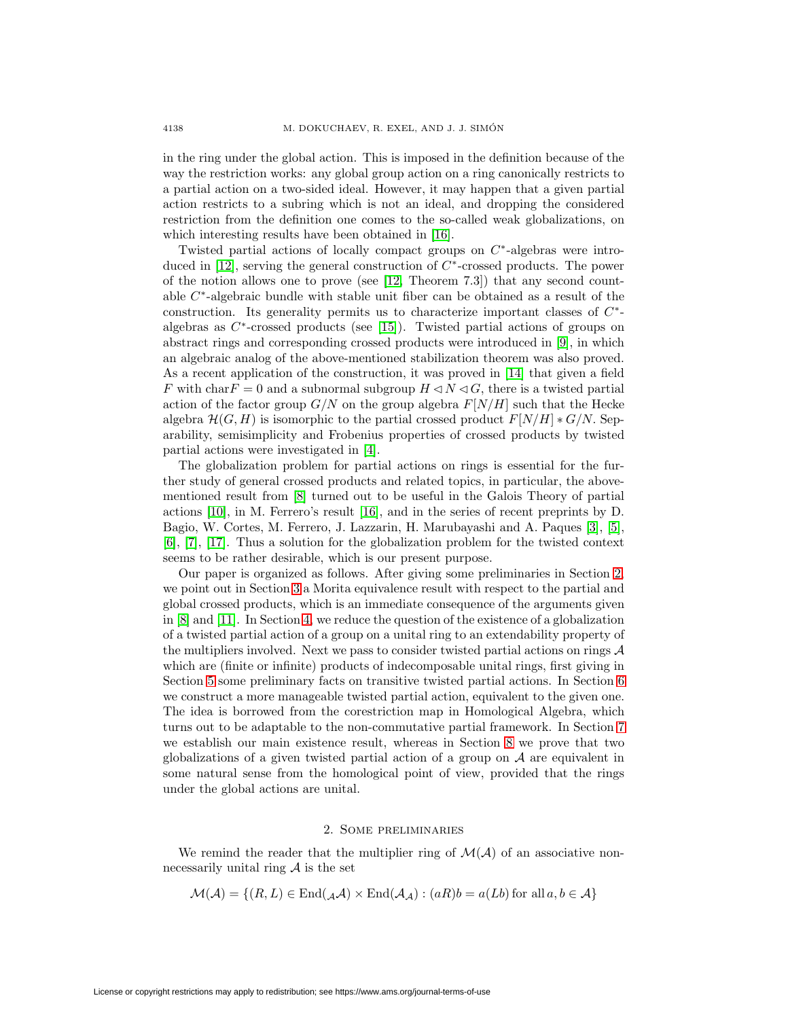in the ring under the global action. This is imposed in the definition because of the way the restriction works: any global group action on a ring canonically restricts to a partial action on a two-sided ideal. However, it may happen that a given partial action restricts to a subring which is not an ideal, and dropping the considered restriction from the definition one comes to the so-called weak globalizations, on which interesting results have been obtained in [\[16\]](#page-23-4).

Twisted partial actions of locally compact groups on C∗-algebras were intro-duced in [\[12\]](#page-23-6), serving the general construction of  $C^*$ -crossed products. The power of the notion allows one to prove (see  $[12,$  Theorem 7.3) that any second countable C∗-algebraic bundle with stable unit fiber can be obtained as a result of the construction. Its generality permits us to characterize important classes of  $C^*$ algebras as  $C^*$ -crossed products (see [\[15\]](#page-23-7)). Twisted partial actions of groups on abstract rings and corresponding crossed products were introduced in [\[9\]](#page-23-8), in which an algebraic analog of the above-mentioned stabilization theorem was also proved. As a recent application of the construction, it was proved in [\[14\]](#page-23-9) that given a field F with char $F = 0$  and a subnormal subgroup  $H \triangleleft N \triangleleft G$ , there is a twisted partial action of the factor group  $G/N$  on the group algebra  $F[N/H]$  such that the Hecke algebra  $\mathcal{H}(G, H)$  is isomorphic to the partial crossed product  $F[N/H] * G/N$ . Separability, semisimplicity and Frobenius properties of crossed products by twisted partial actions were investigated in [\[4\]](#page-22-3).

The globalization problem for partial actions on rings is essential for the further study of general crossed products and related topics, in particular, the abovementioned result from [\[8\]](#page-22-2) turned out to be useful in the Galois Theory of partial actions [\[10\]](#page-23-10), in M. Ferrero's result [\[16\]](#page-23-4), and in the series of recent preprints by D. Bagio, W. Cortes, M. Ferrero, J. Lazzarin, H. Marubayashi and A. Paques [\[3\]](#page-22-4), [\[5\]](#page-22-5), [\[6\]](#page-22-6), [\[7\]](#page-22-7), [\[17\]](#page-23-11). Thus a solution for the globalization problem for the twisted context seems to be rather desirable, which is our present purpose.

Our paper is organized as follows. After giving some preliminaries in Section [2,](#page-1-0) we point out in Section [3](#page-3-0) a Morita equivalence result with respect to the partial and global crossed products, which is an immediate consequence of the arguments given in [\[8\]](#page-22-2) and [\[11\]](#page-23-5). In Section [4,](#page-4-0) we reduce the question of the existence of a globalization of a twisted partial action of a group on a unital ring to an extendability property of the multipliers involved. Next we pass to consider twisted partial actions on rings  $A$ which are (finite or infinite) products of indecomposable unital rings, first giving in Section [5](#page-7-0) some preliminary facts on transitive twisted partial actions. In Section [6](#page-9-0) we construct a more manageable twisted partial action, equivalent to the given one. The idea is borrowed from the corestriction map in Homological Algebra, which turns out to be adaptable to the non-commutative partial framework. In Section [7](#page-12-0) we establish our main existence result, whereas in Section [8](#page-15-0) we prove that two globalizations of a given twisted partial action of a group on  $A$  are equivalent in some natural sense from the homological point of view, provided that the rings under the global actions are unital.

## 2. Some preliminaries

<span id="page-1-0"></span>We remind the reader that the multiplier ring of  $\mathcal{M}(\mathcal{A})$  of an associative nonnecessarily unital ring  $A$  is the set

$$
\mathcal{M}(\mathcal{A}) = \{(R, L) \in \text{End}(\mathcal{A}\mathcal{A}) \times \text{End}(\mathcal{A}\mathcal{A}) : (aR)b = a(Lb) \text{ for all } a, b \in \mathcal{A}\}
$$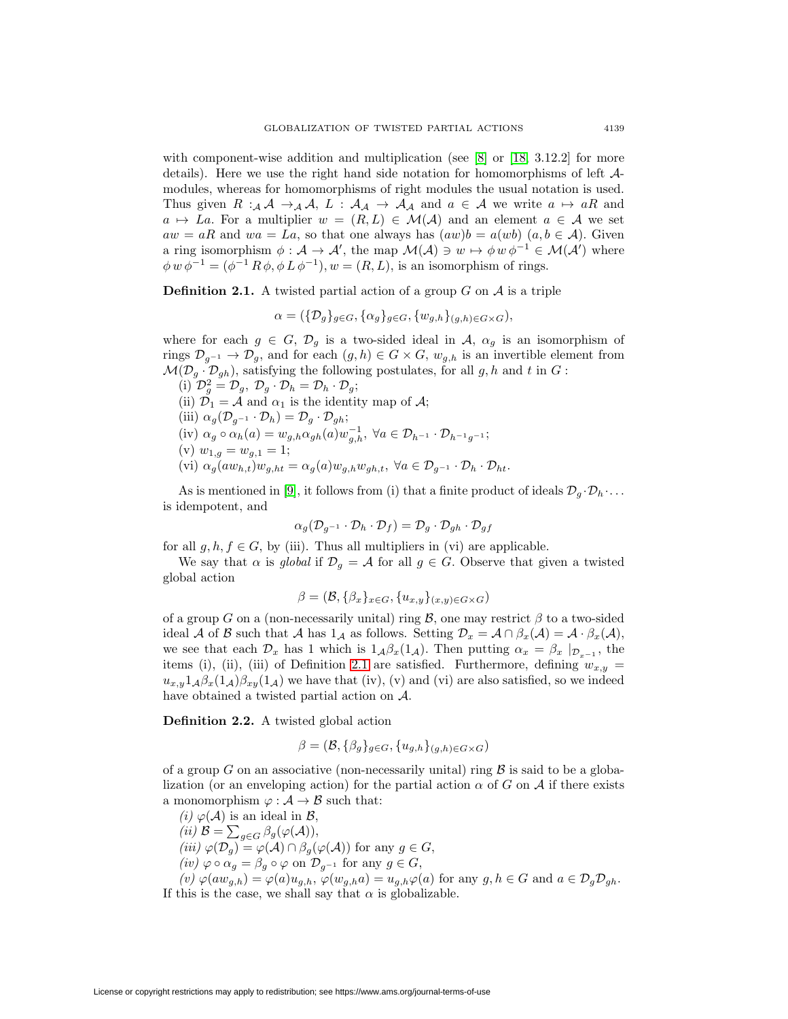with component-wise addition and multiplication (see [\[8\]](#page-22-2) or [\[18,](#page-23-12) 3.12.2] for more details). Here we use the right hand side notation for homomorphisms of left Amodules, whereas for homomorphisms of right modules the usual notation is used. Thus given  $R :_{\mathcal{A}} \mathcal{A} \to_{\mathcal{A}} \mathcal{A}, L : \mathcal{A}_{\mathcal{A}} \to \mathcal{A}_{\mathcal{A}}$  and  $a \in \mathcal{A}$  we write  $a \mapsto aR$  and  $a \mapsto La$ . For a multiplier  $w = (R, L) \in \mathcal{M}(\mathcal{A})$  and an element  $a \in \mathcal{A}$  we set  $aw = aR$  and  $wa = La$ , so that one always has  $(aw)b = a(wb)$   $(a, b \in A)$ . Given a ring isomorphism  $\phi : A \to A'$ , the map  $\mathcal{M}(A) \ni w \mapsto \phi w \phi^{-1} \in \mathcal{M}(A')$  where  $\phi w \phi^{-1} = (\phi^{-1} R \phi, \phi L \phi^{-1}), w = (R, L)$ , is an isomorphism of rings.

<span id="page-2-0"></span>**Definition 2.1.** A twisted partial action of a group  $G$  on  $A$  is a triple

 $\alpha = (\{\mathcal{D}_g\}_{g \in G}, \{\alpha_g\}_{g \in G}, \{w_{g,h}\}_{(g,h) \in G \times G}),$ 

where for each  $g \in G$ ,  $\mathcal{D}_g$  is a two-sided ideal in A,  $\alpha_g$  is an isomorphism of rings  $\mathcal{D}_{g^{-1}} \to \mathcal{D}_g$ , and for each  $(g, h) \in G \times G$ ,  $w_{g,h}$  is an invertible element from  $\mathcal{M}(\mathcal{D}_g \cdot \mathcal{D}_{gh})$ , satisfying the following postulates, for all g, h and t in G:

(i)  $\mathcal{D}_g^2 = \mathcal{D}_g, \ \mathcal{D}_g \cdot \mathcal{D}_h = \mathcal{D}_h \cdot \mathcal{D}_g;$ (ii)  $\mathcal{D}_1 = \mathcal{A}$  and  $\alpha_1$  is the identity map of  $\mathcal{A}$ ; (iii)  $\alpha_g(\mathcal{D}_{g^{-1}} \cdot \mathcal{D}_h) = \mathcal{D}_g \cdot \mathcal{D}_{gh};$ (iv)  $\alpha_g \circ \alpha_h(a) = w_{g,h} \alpha_{gh}(a) w_{g,h}^{-1}, \ \forall a \in \mathcal{D}_{h^{-1}} \cdot \mathcal{D}_{h^{-1}g^{-1}};$ (v)  $w_{1,g} = w_{g,1} = 1;$ (vi)  $\alpha_g(aw_{h,t})w_{g,ht} = \alpha_g(a)w_{g,h}w_{gh,t}, \ \forall a \in \mathcal{D}_{q^{-1}} \cdot \mathcal{D}_h \cdot \mathcal{D}_{ht}.$ 

As is mentioned in [\[9\]](#page-23-8), it follows from (i) that a finite product of ideals  $\mathcal{D}_q \cdot \mathcal{D}_h \cdot \ldots$ is idempotent, and

$$
\alpha_g(\mathcal{D}_{g^{-1}}\cdot \mathcal{D}_h\cdot \mathcal{D}_f)=\mathcal{D}_g\cdot \mathcal{D}_{gh}\cdot \mathcal{D}_{gf}
$$

for all  $q, h, f \in G$ , by (iii). Thus all multipliers in (vi) are applicable.

We say that  $\alpha$  is global if  $\mathcal{D}_g = \mathcal{A}$  for all  $g \in G$ . Observe that given a twisted global action

$$
\beta = (\mathcal{B}, \{\beta_x\}_{x \in G}, \{u_{x,y}\}_{(x,y) \in G \times G})
$$

of a group G on a (non-necessarily unital) ring B, one may restrict  $\beta$  to a two-sided ideal A of B such that A has  $1_A$  as follows. Setting  $\mathcal{D}_x = \mathcal{A} \cap \beta_x(\mathcal{A}) = \mathcal{A} \cdot \beta_x(\mathcal{A}),$ we see that each  $\mathcal{D}_x$  has 1 which is  $1_{\mathcal{A}}\beta_x(1_{\mathcal{A}})$ . Then putting  $\alpha_x = \beta_x |_{\mathcal{D}_{x-1}}$ , the items (i), (ii), (iii) of Definition [2.1](#page-2-0) are satisfied. Furthermore, defining  $w_{x,y}$  =  $u_{x,y}1_A\beta_x(1_A)\beta_{xy}(1_A)$  we have that (iv), (v) and (vi) are also satisfied, so we indeed have obtained a twisted partial action on A.

<span id="page-2-1"></span>**Definition 2.2.** A twisted global action

$$
\beta = (\mathcal{B}, \{\beta_g\}_{g \in G}, \{u_{g,h}\}_{(g,h) \in G \times G})
$$

of a group G on an associative (non-necessarily unital) ring  $\beta$  is said to be a globalization (or an enveloping action) for the partial action  $\alpha$  of G on A if there exists a monomorphism  $\varphi : \mathcal{A} \to \mathcal{B}$  such that:

(i)  $\varphi(\mathcal{A})$  is an ideal in  $\mathcal{B}$ , (*ii*)  $\mathcal{B} = \sum_{g \in G} \beta_g(\varphi(\mathcal{A})),$ (iii)  $\varphi(\mathcal{D}_g) = \varphi(\mathcal{A}) \cap \beta_g(\varphi(\mathcal{A}))$  for any  $g \in G$ ,  $(iv) \varphi \circ \alpha_g = \beta_g \circ \varphi$  on  $\mathcal{D}_{g^{-1}}$  for any  $g \in G$ ,  $(v) \varphi(aw_{g,h}) = \varphi(a)u_{g,h}, \varphi(w_{g,h}a) = u_{g,h}\varphi(a)$  for any  $g, h \in G$  and  $a \in \mathcal{D}_g\mathcal{D}_{gh}.$ 

If this is the case, we shall say that  $\alpha$  is globalizable.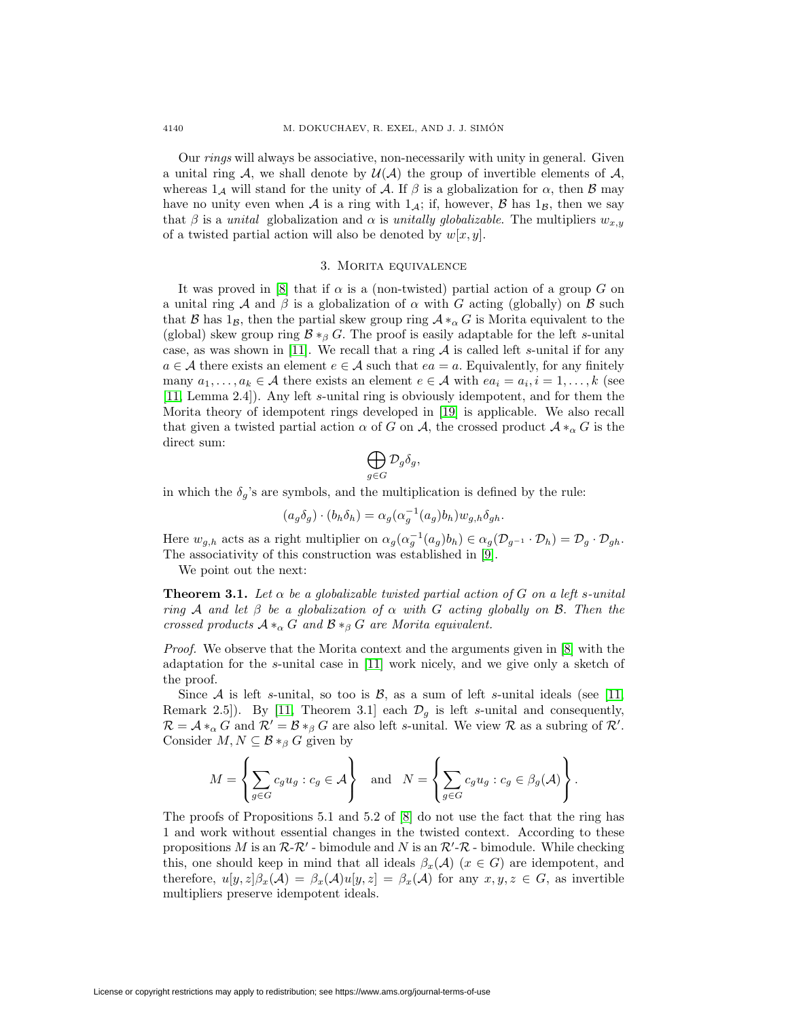Our rings will always be associative, non-necessarily with unity in general. Given a unital ring A, we shall denote by  $\mathcal{U}(\mathcal{A})$  the group of invertible elements of  $\mathcal{A}$ , whereas  $1_A$  will stand for the unity of A. If  $\beta$  is a globalization for  $\alpha$ , then  $\beta$  may have no unity even when A is a ring with  $1_A$ ; if, however, B has  $1_B$ , then we say that β is a unital globalization and  $\alpha$  is unitally globalizable. The multipliers  $w_{x,y}$ of a twisted partial action will also be denoted by  $w[x, y]$ .

## 3. Morita equivalence

<span id="page-3-0"></span>It was proved in [\[8\]](#page-22-2) that if  $\alpha$  is a (non-twisted) partial action of a group G on a unital ring A and  $\beta$  is a globalization of  $\alpha$  with G acting (globally) on B such that B has  $1_B$ , then the partial skew group ring  $A *_{\alpha} G$  is Morita equivalent to the (global) skew group ring  $\mathcal{B} *_{\beta} G$ . The proof is easily adaptable for the left s-unital case, as was shown in [\[11\]](#page-23-5). We recall that a ring  $A$  is called left s-unital if for any  $a \in \mathcal{A}$  there exists an element  $e \in \mathcal{A}$  such that  $ea = a$ . Equivalently, for any finitely many  $a_1, \ldots, a_k \in \mathcal{A}$  there exists an element  $e \in \mathcal{A}$  with  $ea_i = a_i, i = 1, \ldots, k$  (see [\[11,](#page-23-5) Lemma 2.4]). Any left s-unital ring is obviously idempotent, and for them the Morita theory of idempotent rings developed in [\[19\]](#page-23-13) is applicable. We also recall that given a twisted partial action  $\alpha$  of G on A, the crossed product  $\mathcal{A} *_{\alpha} G$  is the direct sum:

$$
\bigoplus_{g\in G} \mathcal{D}_g \delta_g,
$$

in which the  $\delta_q$ 's are symbols, and the multiplication is defined by the rule:

$$
(a_g \delta_g) \cdot (b_h \delta_h) = \alpha_g (\alpha_g^{-1}(a_g) b_h) w_{g,h} \delta_{gh}.
$$

Here  $w_{g,h}$  acts as a right multiplier on  $\alpha_g(\alpha_g^{-1}(a_g)b_h) \in \alpha_g(\mathcal{D}_{g^{-1}} \cdot \mathcal{D}_h) = \mathcal{D}_g \cdot \mathcal{D}_{gh}$ . The associativity of this construction was established in [\[9\]](#page-23-8).

We point out the next:

**Theorem 3.1.** Let  $\alpha$  be a globalizable twisted partial action of G on a left s-unital ring A and let  $\beta$  be a globalization of  $\alpha$  with G acting globally on B. Then the crossed products  $A*_\alpha G$  and  $B*_\beta G$  are Morita equivalent.

Proof. We observe that the Morita context and the arguments given in [\[8\]](#page-22-2) with the adaptation for the s-unital case in [\[11\]](#page-23-5) work nicely, and we give only a sketch of the proof.

Since A is left s-unital, so too is  $\mathcal{B}$ , as a sum of left s-unital ideals (see [\[11,](#page-23-5) Remark 2.5]). By [\[11,](#page-23-5) Theorem 3.1] each  $\mathcal{D}_q$  is left s-unital and consequently,  $\mathcal{R} = \mathcal{A} *_{\alpha} G$  and  $\mathcal{R}' = \mathcal{B} *_{\beta} G$  are also left s-unital. We view  $\mathcal{R}$  as a subring of  $\mathcal{R}'$ . Consider  $M, N \subseteq \mathcal{B} *_{\beta} G$  given by

$$
M = \left\{ \sum_{g \in G} c_g u_g : c_g \in \mathcal{A} \right\} \text{ and } N = \left\{ \sum_{g \in G} c_g u_g : c_g \in \beta_g(\mathcal{A}) \right\}.
$$

The proofs of Propositions 5.1 and 5.2 of [\[8\]](#page-22-2) do not use the fact that the ring has 1 and work without essential changes in the twisted context. According to these propositions M is an  $\mathcal{R}\text{-}\mathcal{R}'$  - bimodule and N is an  $\mathcal{R}'\text{-}\mathcal{R}$  - bimodule. While checking this, one should keep in mind that all ideals  $\beta_x(\mathcal{A})$  ( $x \in G$ ) are idempotent, and therefore,  $u[y, z] \beta_x(\mathcal{A}) = \beta_x(\mathcal{A}) u[y, z] = \beta_x(\mathcal{A})$  for any  $x, y, z \in G$ , as invertible multipliers preserve idempotent ideals.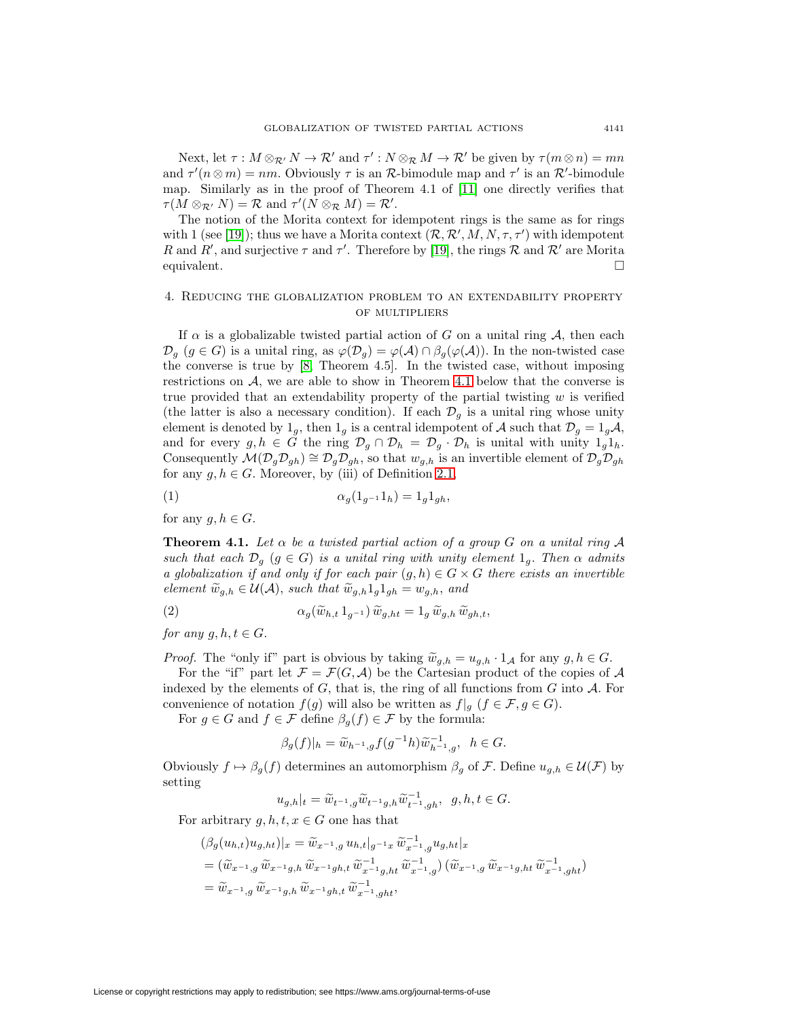Next, let  $\tau : M \otimes_{\mathcal{R}'} N \to \mathcal{R}'$  and  $\tau' : N \otimes_{\mathcal{R}} M \to \mathcal{R}'$  be given by  $\tau(m \otimes n) = mn$ and  $\tau'(n\otimes m) = nm$ . Obviously  $\tau$  is an R-bimodule map and  $\tau'$  is an R'-bimodule map. Similarly as in the proof of Theorem 4.1 of [\[11\]](#page-23-5) one directly verifies that  $\tau(M \otimes_{\mathcal{R}'} N) = \mathcal{R}$  and  $\tau'(N \otimes_{\mathcal{R}} M) = \mathcal{R}'$ .

The notion of the Morita context for idempotent rings is the same as for rings with 1 (see [\[19\]](#page-23-13)); thus we have a Morita context  $(R, R', M, N, \tau, \tau')$  with idempotent R and R', and surjective  $\tau$  and  $\tau'$ . Therefore by [\[19\]](#page-23-13), the rings R and R' are Morita equivalent.  $\Box$ 

## <span id="page-4-0"></span>4. Reducing the globalization problem to an extendability property of multipliers

If  $\alpha$  is a globalizable twisted partial action of G on a unital ring A, then each  $\mathcal{D}_g$   $(g \in G)$  is a unital ring, as  $\varphi(\mathcal{D}_g) = \varphi(\mathcal{A}) \cap \beta_g(\varphi(\mathcal{A}))$ . In the non-twisted case the converse is true by [\[8,](#page-22-2) Theorem 4.5]. In the twisted case, without imposing restrictions on A, we are able to show in Theorem [4.1](#page-4-1) below that the converse is true provided that an extendability property of the partial twisting  $w$  is verified (the latter is also a necessary condition). If each  $\mathcal{D}_q$  is a unital ring whose unity element is denoted by  $1_g$ , then  $1_g$  is a central idempotent of A such that  $\mathcal{D}_g = 1_g \mathcal{A}$ , and for every  $g, h \in G$  the ring  $\mathcal{D}_g \cap \mathcal{D}_h = \mathcal{D}_g \cdot \mathcal{D}_h$  is unital with unity  $1_g 1_h$ . Consequently  $\mathcal{M}(\mathcal{D}_g \mathcal{D}_{gh}) \cong \mathcal{D}_g \mathcal{D}_{gh}$ , so that  $w_{g,h}$  is an invertible element of  $\mathcal{D}_g \mathcal{D}_{gh}$ for any  $g, h \in G$ . Moreover, by (iii) of Definition [2.1,](#page-2-0)

<span id="page-4-2"></span>
$$
\alpha_g(1_{g^{-1}}1_h) = 1_g1_{gh},
$$

<span id="page-4-1"></span>for any  $g, h \in G$ .

**Theorem 4.1.** Let  $\alpha$  be a twisted partial action of a group G on a unital ring A such that each  $\mathcal{D}_q$  ( $g \in G$ ) is a unital ring with unity element  $1_q$ . Then  $\alpha$  admits a globalization if and only if for each pair  $(g, h) \in G \times G$  there exists an invertible element  $\widetilde{w}_{q,h} \in \mathcal{U}(\mathcal{A})$ , such that  $\widetilde{w}_{q,h}1_q1_{qh} = w_{q,h}$ , and

(2) 
$$
\alpha_g(\widetilde{w}_{h,t} 1_{g^{-1}}) \widetilde{w}_{g,ht} = 1_g \widetilde{w}_{g,h} \widetilde{w}_{gh,t},
$$

for any  $g, h, t \in G$ .

*Proof.* The "only if" part is obvious by taking  $\widetilde{w}_{g,h} = u_{g,h} \cdot 1_A$  for any  $g, h \in G$ . For the "if" part let  $\mathcal{F} = \mathcal{F}(G, \mathcal{A})$  be the Cartesian product of the copies of  $\mathcal{A}$ indexed by the elements of  $G$ , that is, the ring of all functions from  $G$  into  $A$ . For convenience of notation  $f(g)$  will also be written as  $f|_g$   $(f \in \mathcal{F}, g \in G)$ .

For  $g \in G$  and  $f \in \mathcal{F}$  define  $\beta_g(f) \in \mathcal{F}$  by the formula:

<span id="page-4-3"></span>
$$
\beta_g(f)|_h = \widetilde{w}_{h^{-1},g} f(g^{-1}h) \widetilde{w}_{h^{-1},g}^{-1}, \quad h \in G.
$$

Obviously  $f \mapsto \beta_g(f)$  determines an automorphism  $\beta_g$  of F. Define  $u_{g,h} \in \mathcal{U}(\mathcal{F})$  by setting

$$
u_{g,h}|_t=\widetilde{w}_{t^{-1},g}\widetilde{w}_{t^{-1}g,h}\widetilde{w}_{t^{-1},gh}^{-1},\ \ g,h,t\in G.
$$

For arbitrary  $g, h, t, x \in G$  one has that

$$
\begin{split} &(\beta_g(u_{h,t})u_{g,ht})|_x = \widetilde{w}_{x^{-1},g} \, u_{h,t}|_{g^{-1}x} \, \widetilde{w}_{x^{-1},g}^{-1} u_{g,ht}|_x \\ & = \left(\widetilde{w}_{x^{-1},g} \, \widetilde{w}_{x^{-1}g,h} \, \widetilde{w}_{x^{-1}gh,t} \, \widetilde{w}_{x^{-1}g,ht}^{-1} \, \widetilde{w}_{x^{-1},g}^{-1} \right) \left(\widetilde{w}_{x^{-1},g} \, \widetilde{w}_{x^{-1}g,ht} \, \widetilde{w}_{x^{-1},ght}^{-1} \right) \\ & = \widetilde{w}_{x^{-1},g} \, \widetilde{w}_{x^{-1}g,h} \, \widetilde{w}_{x^{-1}gh,t} \, \widetilde{w}_{x^{-1},ght}^{-1}, \end{split}
$$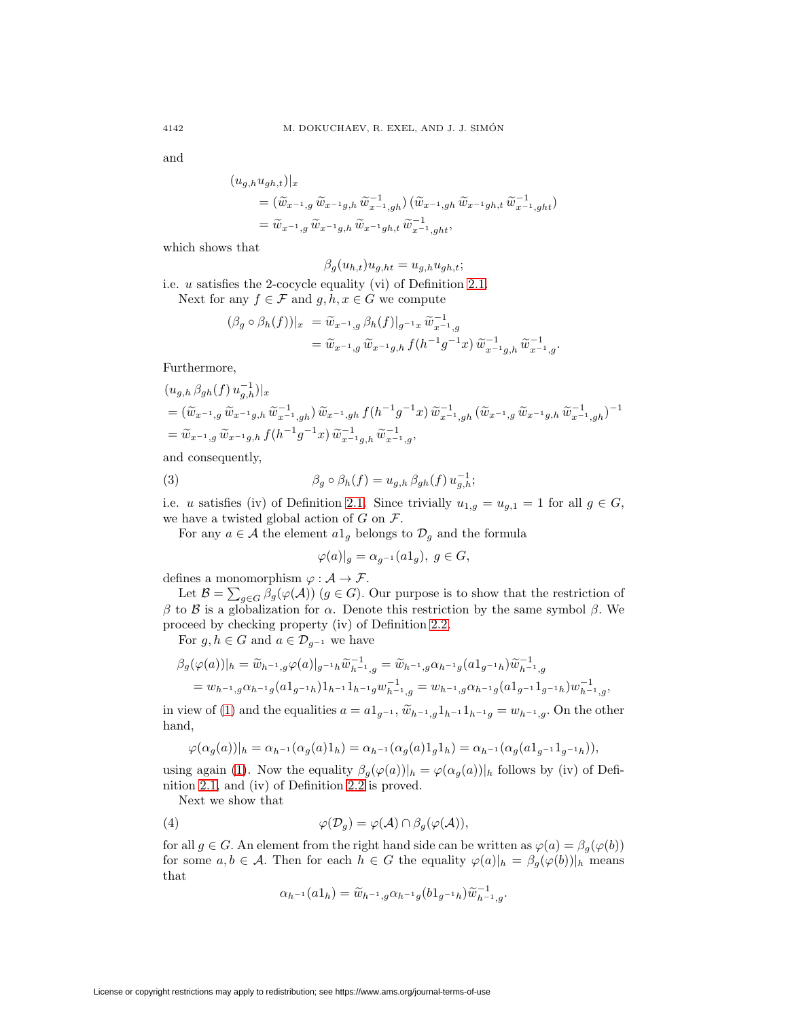and

$$
\begin{split} (u_{g,h}u_{gh,t})|_{x} \\ & = (\widetilde{w}_{x^{-1},g}\,\widetilde{w}_{x^{-1}g,h}\,\widetilde{w}_{x^{-1},gh}^{-1})\,(\widetilde{w}_{x^{-1},gh}\,\widetilde{w}_{x^{-1}gh,t}\,\widetilde{w}_{x^{-1},ght}^{-1}) \\ & = \widetilde{w}_{x^{-1},g}\,\widetilde{w}_{x^{-1}g,h}\,\widetilde{w}_{x^{-1}gh,t}\,\widetilde{w}_{x^{-1},ght}^{-1}, \end{split}
$$

which shows that

$$
\beta_g(u_{h,t})u_{g,ht} = u_{g,h}u_{gh,t};
$$

i.e. u satisfies the 2-cocycle equality (vi) of Definition [2.1.](#page-2-0)

Next for any  $f \in \mathcal{F}$  and  $g, h, x \in G$  we compute

$$
\begin{aligned} (\beta_g \circ \beta_h(f))|_{x} &= \widetilde{w}_{x^{-1},g} \beta_h(f)|_{g^{-1}x} \widetilde{w}_{x^{-1},g}^{-1} \\ &= \widetilde{w}_{x^{-1},g} \widetilde{w}_{x^{-1}g,h} \, f(h^{-1}g^{-1}x) \, \widetilde{w}_{x^{-1},g,h}^{-1} \, \widetilde{w}_{x^{-1},g}^{-1} .\end{aligned}
$$

Furthermore,

$$
(u_{g,h} \beta_{gh}(f) u_{g,h}^{-1})|_{x}
$$
  
=  $(\widetilde{w}_{x^{-1},g} \widetilde{w}_{x^{-1}g,h} \widetilde{w}_{x^{-1},gh}^{-1}) \widetilde{w}_{x^{-1},gh} f(h^{-1}g^{-1}x) \widetilde{w}_{x^{-1},gh}^{-1} (\widetilde{w}_{x^{-1},g} \widetilde{w}_{x^{-1}g,h} \widetilde{w}_{x^{-1},gh}^{-1})^{-1}$   
=  $\widetilde{w}_{x^{-1},g} \widetilde{w}_{x^{-1}g,h} f(h^{-1}g^{-1}x) \widetilde{w}_{x^{-1}g,h}^{-1} \widetilde{w}_{x^{-1},g}^{-1},$ 

<span id="page-5-1"></span>and consequently,

(3) 
$$
\beta_g \circ \beta_h(f) = u_{g,h} \beta_{gh}(f) u_{g,h}^{-1};
$$

i.e. u satisfies (iv) of Definition [2.1.](#page-2-0) Since trivially  $u_{1,g} = u_{g,1} = 1$  for all  $g \in G$ , we have a twisted global action of  $G$  on  $\mathcal{F}$ .

For any  $a \in \mathcal{A}$  the element  $a1_g$  belongs to  $\mathcal{D}_g$  and the formula

$$
\varphi(a)|_g = \alpha_{g^{-1}}(a1_g), \ g \in G,
$$

defines a monomorphism  $\varphi : A \to \mathcal{F}$ .

Let  $\mathcal{B} = \sum_{g \in G} \beta_g(\varphi(\mathcal{A}))$   $(g \in G)$ . Our purpose is to show that the restriction of β to B is a globalization for  $\alpha$ . Denote this restriction by the same symbol β. We proceed by checking property (iv) of Definition [2.2.](#page-2-1)

For  $g, h \in G$  and  $a \in \mathcal{D}_{g^{-1}}$  we have

$$
\beta_g(\varphi(a))|_{h} = \widetilde{w}_{h^{-1},g}\varphi(a)|_{g^{-1}h}\widetilde{w}_{h^{-1},g}^{-1} = \widetilde{w}_{h^{-1},g}\alpha_{h^{-1},g}(a1_{g^{-1}h})\widetilde{w}_{h^{-1},g}^{-1}
$$
  
= 
$$
w_{h^{-1},g}\alpha_{h^{-1}g}(a1_{g^{-1}h})1_{h^{-1}}1_{h^{-1}g}w_{h^{-1},g}^{-1} = w_{h^{-1},g}\alpha_{h^{-1}g}(a1_{g^{-1}}1_{g^{-1}h})w_{h^{-1},g}^{-1},
$$

in view of [\(1\)](#page-4-2) and the equalities  $a = a1_{q^{-1}}$ ,  $\widetilde{w}_{h^{-1},g}1_{h^{-1}}1_{h^{-1}g} = w_{h^{-1},g}$ . On the other hand,

$$
\varphi(\alpha_g(a))|_{h} = \alpha_{h^{-1}}(\alpha_g(a)1_h) = \alpha_{h^{-1}}(\alpha_g(a)1_g1_h) = \alpha_{h^{-1}}(\alpha_g(a1_{g^{-1}}1_{g^{-1}h})),
$$

using again [\(1\)](#page-4-2). Now the equality  $\beta_g(\varphi(a))|_h = \varphi(\alpha_g(a))|_h$  follows by (iv) of Definition [2.1,](#page-2-0) and (iv) of Definition [2.2](#page-2-1) is proved.

<span id="page-5-0"></span>Next we show that

(4) 
$$
\varphi(\mathcal{D}_g) = \varphi(\mathcal{A}) \cap \beta_g(\varphi(\mathcal{A})),
$$

for all  $g \in G$ . An element from the right hand side can be written as  $\varphi(a) = \beta_g(\varphi(b))$ for some  $a, b \in \mathcal{A}$ . Then for each  $h \in G$  the equality  $\varphi(a)|_h = \beta_g(\varphi(b))|_h$  means that

$$
\alpha_{h^{-1}}(a1_h) = \widetilde{w}_{h^{-1},g} \alpha_{h^{-1}g} (b1_{g^{-1}h}) \widetilde{w}_{h^{-1},g}^{-1}.
$$

License or copyright restrictions may apply to redistribution; see https://www.ams.org/journal-terms-of-use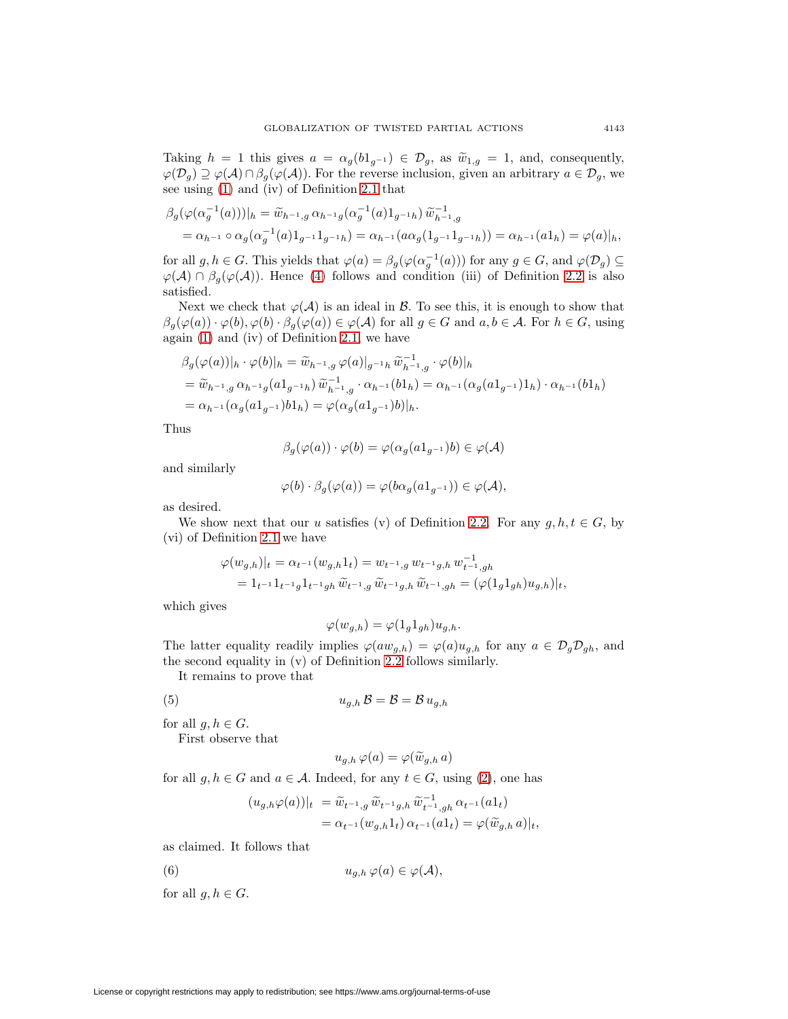Taking  $h = 1$  this gives  $a = \alpha_g(b1_{g^{-1}}) \in \mathcal{D}_g$ , as  $\widetilde{w}_{1,g} = 1$ , and, consequently,  $\varphi(\mathcal{D}_g) \supseteq \varphi(\mathcal{A}) \cap \beta_g(\varphi(\mathcal{A}))$ . For the reverse inclusion, given an arbitrary  $a \in \mathcal{D}_g$ , we see using [\(1\)](#page-4-2) and (iv) of Definition [2.1](#page-2-0) that

$$
\beta_g(\varphi(\alpha_g^{-1}(a)))|_{h} = \widetilde{w}_{h^{-1},g} \alpha_{h^{-1}g}(\alpha_g^{-1}(a)1_{g^{-1}h}) \widetilde{w}_{h^{-1},g}^{-1}
$$
  
=  $\alpha_{h^{-1}} \circ \alpha_g(\alpha_g^{-1}(a)1_{g^{-1}}1_{g^{-1}h}) = \alpha_{h^{-1}}(a\alpha_g(1_{g^{-1}}1_{g^{-1}h})) = \alpha_{h^{-1}}(a1_h) = \varphi(a)|_{h},$ 

for all  $g, h \in G$ . This yields that  $\varphi(a) = \beta_g(\varphi(\alpha_g^{-1}(a)))$  for any  $g \in G$ , and  $\varphi(\mathcal{D}_g) \subseteq$  $\varphi(\mathcal{A}) \cap \beta_q(\varphi(\mathcal{A}))$ . Hence [\(4\)](#page-5-0) follows and condition (iii) of Definition [2.2](#page-2-1) is also satisfied.

Next we check that  $\varphi(A)$  is an ideal in  $\beta$ . To see this, it is enough to show that  $\beta_g(\varphi(a)) \cdot \varphi(b), \varphi(b) \cdot \beta_g(\varphi(a)) \in \varphi(A)$  for all  $g \in G$  and  $a, b \in A$ . For  $h \in G$ , using again [\(1\)](#page-4-2) and (iv) of Definition [2.1,](#page-2-0) we have

$$
\beta_g(\varphi(a))|_{h} \cdot \varphi(b)|_{h} = \widetilde{w}_{h^{-1},g} \varphi(a)|_{g^{-1}h} \widetilde{w}_{h^{-1},g}^{-1} \cdot \varphi(b)|_{h}
$$
  
=  $\widetilde{w}_{h^{-1},g} \alpha_{h^{-1}g}(a1_{g^{-1}h}) \widetilde{w}_{h^{-1},g}^{-1} \cdot \alpha_{h^{-1}}(b1_{h}) = \alpha_{h^{-1}}(\alpha_g(a1_{g^{-1}})1_{h}) \cdot \alpha_{h^{-1}}(b1_{h})$   
=  $\alpha_{h^{-1}}(\alpha_g(a1_{g^{-1}})b1_{h}) = \varphi(\alpha_g(a1_{g^{-1}})b)|_{h}.$ 

Thus

$$
\beta_g(\varphi(a)) \cdot \varphi(b) = \varphi(\alpha_g(a1_{g^{-1}})b) \in \varphi(\mathcal{A})
$$

and similarly

$$
\varphi(b)\cdot\beta_g(\varphi(a))=\varphi(b\alpha_g(a1_{g^{-1}}))\in\varphi(\mathcal{A}),
$$

as desired.

We show next that our u satisfies (v) of Definition [2.2.](#page-2-1) For any  $g, h, t \in G$ , by (vi) of Definition [2.1](#page-2-0) we have

$$
\varphi(w_{g,h})|_{t} = \alpha_{t-1}(w_{g,h}1_{t}) = w_{t-1,g} w_{t-1,g,h} w_{t-1,gh}^{-1}
$$
  
=  $1_{t-1} 1_{t-1} 1_{t-1} 1_{t-1} w_{h} \widetilde{w}_{t-1,g} \widetilde{w}_{t-1,g,h} \widetilde{w}_{t-1,gh} = (\varphi(1_{g}1_{gh}) u_{g,h})|_{t},$ 

which gives

$$
\varphi(w_{g,h}) = \varphi(1_g 1_{gh}) u_{g,h}.
$$

The latter equality readily implies  $\varphi(aw_{g,h}) = \varphi(a)u_{g,h}$  for any  $a \in \mathcal{D}_g\mathcal{D}_{gh}$ , and the second equality in (v) of Definition [2.2](#page-2-1) follows similarly.

<span id="page-6-1"></span>It remains to prove that

$$
(5) \t\t u_{g,h} \mathcal{B} = \mathcal{B} = \mathcal{B} u_{g,h}
$$

for all  $g, h \in G$ .

First observe that

$$
u_{g,h}\,\varphi(a)=\varphi(\widetilde{w}_{g,h}\,a)
$$

for all  $g, h \in G$  and  $a \in \mathcal{A}$ . Indeed, for any  $t \in G$ , using [\(2\)](#page-4-3), one has

<span id="page-6-0"></span>
$$
(u_{g,h}\varphi(a))|_{t} = \widetilde{w}_{t-1,g} \,\widetilde{w}_{t-1,g,h} \,\widetilde{w}_{t-1,gh}^{-1} \,\alpha_{t-1}(a1_t)
$$
  
=  $\alpha_{t-1}(w_{g,h}1_t) \,\alpha_{t-1}(a1_t) = \varphi(\widetilde{w}_{g,h} \, a)|_t,$ 

as claimed. It follows that

(6) 
$$
u_{g,h}\,\varphi(a)\in\varphi(\mathcal{A}),
$$

for all  $g, h \in G$ .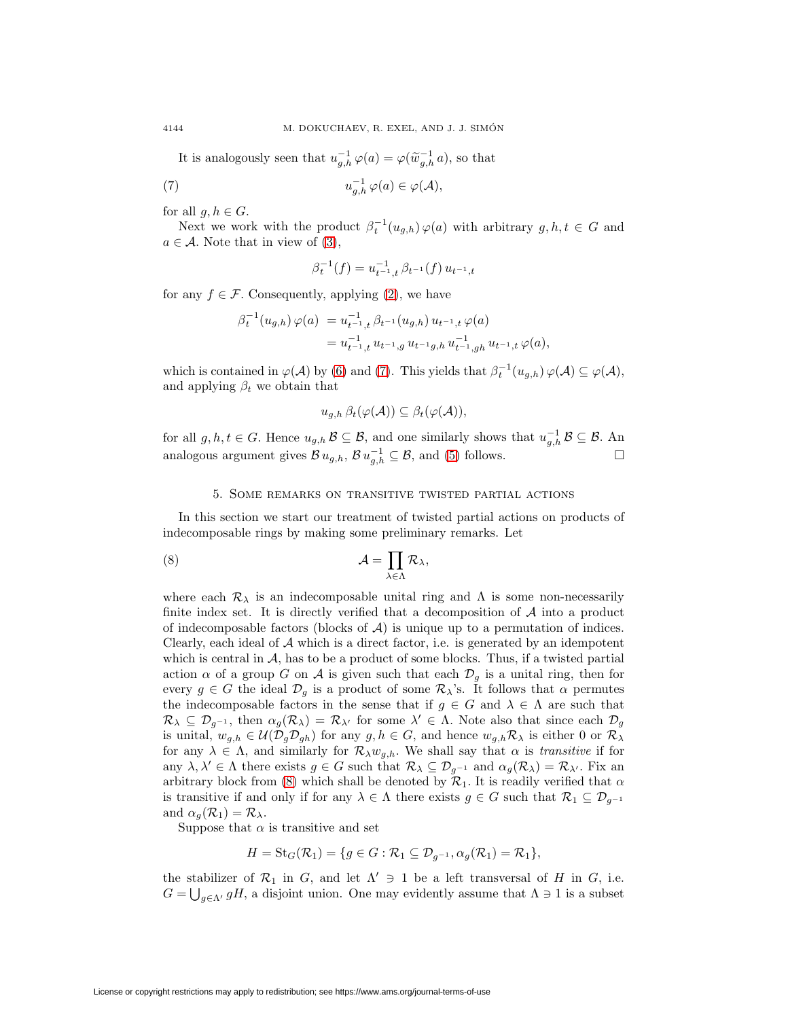It is analogously seen that  $u_{g,h}^{-1} \varphi(a) = \varphi(\widetilde{w}_{g,h}^{-1} a)$ , so that

(7) 
$$
u_{g,h}^{-1} \varphi(a) \in \varphi(\mathcal{A}),
$$

for all  $g, h \in G$ .

Next we work with the product  $\beta_t^{-1}(u_{g,h}) \varphi(a)$  with arbitrary  $g, h, t \in G$  and  $a \in \mathcal{A}$ . Note that in view of [\(3\)](#page-5-1),

<span id="page-7-1"></span>
$$
\beta_t^{-1}(f) = u_{t^{-1},t}^{-1} \beta_{t^{-1}}(f) u_{t^{-1},t}
$$

for any  $f \in \mathcal{F}$ . Consequently, applying [\(2\)](#page-4-3), we have

$$
\begin{array}{ll} \beta_t^{-1}(u_{g,h})\,\varphi(a) & = u_{t^{-1},t}^{-1}\,\beta_{t^{-1}}(u_{g,h})\,u_{t^{-1},t}\,\varphi(a) \\ & = u_{t^{-1},t}^{-1}\,u_{t^{-1},g}\,u_{t^{-1}g,h}\,u_{t^{-1},gh}^{-1}\,u_{t^{-1},t}\,\varphi(a), \end{array}
$$

which is contained in  $\varphi(\mathcal{A})$  by [\(6\)](#page-6-0) and [\(7\)](#page-7-1). This yields that  $\beta_t^{-1}(u_{g,h}) \varphi(\mathcal{A}) \subseteq \varphi(\mathcal{A}),$ and applying  $\beta_t$  we obtain that

<span id="page-7-2"></span>
$$
u_{g,h} \,\beta_t(\varphi(\mathcal{A})) \subseteq \beta_t(\varphi(\mathcal{A})),
$$

for all  $g, h, t \in G$ . Hence  $u_{g,h}$   $\mathcal{B} \subseteq \mathcal{B}$ , and one similarly shows that  $u_{g,h}^{-1}$   $\mathcal{B} \subseteq \mathcal{B}$ . An analogous argument gives  $\mathcal{B} u_{g,h}$ ,  $\mathcal{B} u_{g,h}^{-1} \subseteq \mathcal{B}$ , and [\(5\)](#page-6-1) follows.

#### 5. Some remarks on transitive twisted partial actions

<span id="page-7-0"></span>In this section we start our treatment of twisted partial actions on products of indecomposable rings by making some preliminary remarks. Let

(8) 
$$
\mathcal{A} = \prod_{\lambda \in \Lambda} \mathcal{R}_{\lambda},
$$

where each  $\mathcal{R}_{\lambda}$  is an indecomposable unital ring and  $\Lambda$  is some non-necessarily finite index set. It is directly verified that a decomposition of  $A$  into a product of indecomposable factors (blocks of  $A$ ) is unique up to a permutation of indices. Clearly, each ideal of  $A$  which is a direct factor, i.e. is generated by an idempotent which is central in  $A$ , has to be a product of some blocks. Thus, if a twisted partial action  $\alpha$  of a group G on A is given such that each  $\mathcal{D}_g$  is a unital ring, then for every  $g \in G$  the ideal  $\mathcal{D}_g$  is a product of some  $\mathcal{R}_{\lambda}$ 's. It follows that  $\alpha$  permutes the indecomposable factors in the sense that if  $g \in G$  and  $\lambda \in \Lambda$  are such that  $\mathcal{R}_{\lambda} \subseteq \mathcal{D}_{g^{-1}}$ , then  $\alpha_g(\mathcal{R}_{\lambda}) = \mathcal{R}_{\lambda'}$  for some  $\lambda' \in \Lambda$ . Note also that since each  $\mathcal{D}_g$ is unital,  $w_{g,h} \in \mathcal{U}(\mathcal{D}_g \mathcal{D}_{gh})$  for any  $g, h \in G$ , and hence  $w_{g,h} \mathcal{R}_\lambda$  is either 0 or  $\mathcal{R}_\lambda$ for any  $\lambda \in \Lambda$ , and similarly for  $\mathcal{R}_{\lambda}w_{q,h}$ . We shall say that  $\alpha$  is *transitive* if for any  $\lambda, \lambda' \in \Lambda$  there exists  $g \in G$  such that  $\mathcal{R}_{\lambda} \subseteq \mathcal{D}_{g^{-1}}$  and  $\alpha_g(\mathcal{R}_{\lambda}) = \mathcal{R}_{\lambda'}$ . Fix an arbitrary block from [\(8\)](#page-7-2) which shall be denoted by  $\mathcal{R}_1$ . It is readily verified that  $\alpha$ is transitive if and only if for any  $\lambda \in \Lambda$  there exists  $g \in G$  such that  $\mathcal{R}_1 \subseteq \mathcal{D}_{g^{-1}}$ and  $\alpha_q(\mathcal{R}_1) = \mathcal{R}_\lambda$ .

Suppose that  $\alpha$  is transitive and set

$$
H = \mathrm{St}_G(\mathcal{R}_1) = \{ g \in G : \mathcal{R}_1 \subseteq \mathcal{D}_{g^{-1}}, \alpha_g(\mathcal{R}_1) = \mathcal{R}_1 \},
$$

the stabilizer of  $\mathcal{R}_1$  in G, and let  $\Lambda' \ni 1$  be a left transversal of H in G, i.e.  $G = \bigcup_{g \in \Lambda'} gH$ , a disjoint union. One may evidently assume that  $\Lambda \ni 1$  is a subset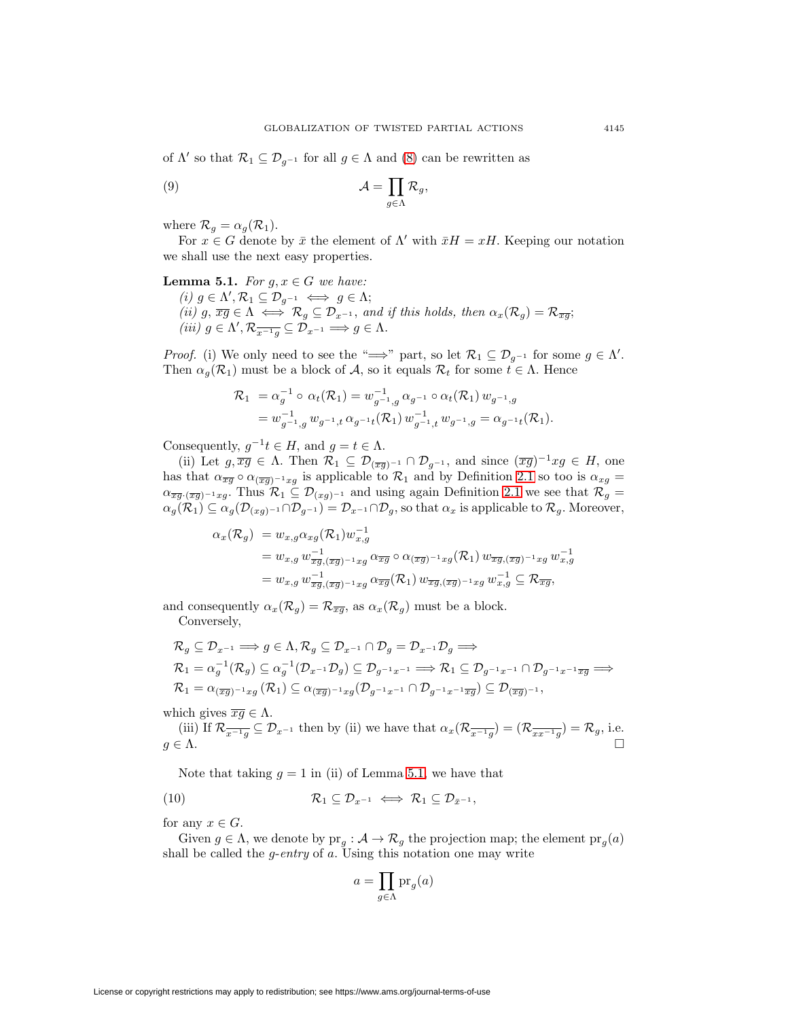<span id="page-8-2"></span>of  $\Lambda'$  so that  $\mathcal{R}_1 \subseteq \mathcal{D}_{q^{-1}}$  for all  $g \in \Lambda$  and [\(8\)](#page-7-2) can be rewritten as

(9) 
$$
\mathcal{A} = \prod_{g \in \Lambda} \mathcal{R}_g,
$$

where  $\mathcal{R}_g = \alpha_g(\mathcal{R}_1)$ .

<span id="page-8-0"></span>For  $x \in G$  denote by  $\bar{x}$  the element of  $\Lambda'$  with  $\bar{x}H = xH$ . Keeping our notation we shall use the next easy properties.

## **Lemma 5.1.** For  $g, x \in G$  we have:

(i)  $g \in \Lambda', \mathcal{R}_1 \subseteq \mathcal{D}_{g^{-1}} \iff g \in \Lambda;$ (ii) g,  $\overline{xy} \in \Lambda \iff \mathcal{R}_g \subseteq \mathcal{D}_{x^{-1}}$ , and if this holds, then  $\alpha_x(\mathcal{R}_g) = \mathcal{R}_{\overline{xy}}$ ; (iii)  $g \in \Lambda', \mathcal{R}_{\overline{x^{-1}g}} \subseteq \mathcal{D}_{x^{-1}} \Longrightarrow g \in \Lambda.$ 

*Proof.* (i) We only need to see the " $\implies$ " part, so let  $\mathcal{R}_1 \subseteq \mathcal{D}_{g^{-1}}$  for some  $g \in \Lambda'$ . Then  $\alpha_q(\mathcal{R}_1)$  must be a block of A, so it equals  $\mathcal{R}_t$  for some  $t \in \Lambda$ . Hence

$$
\mathcal{R}_1 = \alpha_g^{-1} \circ \alpha_t(\mathcal{R}_1) = w_{g^{-1},g}^{-1} \alpha_{g^{-1}} \circ \alpha_t(\mathcal{R}_1) w_{g^{-1},g}
$$
  
= 
$$
w_{g^{-1},g}^{-1} w_{g^{-1},t} \alpha_{g^{-1}t}(\mathcal{R}_1) w_{g^{-1},t}^{-1} w_{g^{-1},g} = \alpha_{g^{-1}t}(\mathcal{R}_1).
$$

Consequently,  $g^{-1}t \in H$ , and  $g = t \in \Lambda$ .

(ii) Let  $g, \overline{xg} \in \Lambda$ . Then  $\mathcal{R}_1 \subseteq \mathcal{D}_{(\overline{xy})^{-1}} \cap \mathcal{D}_{g^{-1}}$ , and since  $(\overline{xy})^{-1}xg \in H$ , one has that  $\alpha_{\overline{xg}} \circ \alpha_{(\overline{xg})^{-1}xg}$  is applicable to  $\mathcal{R}_1$  and by Definition [2.1](#page-2-0) so too is  $\alpha_{xg} =$  $\alpha_{\overline{xy} \cdot (\overline{xy})^{-1}xy}$ . Thus  $\mathcal{R}_1 \subseteq \mathcal{D}_{(xg)^{-1}}$  and using again Definition [2.1](#page-2-0) we see that  $\mathcal{R}_g =$  $\alpha_g(\mathcal{R}_1) \subseteq \alpha_g(\mathcal{D}_{(xg)^{-1}} \cap \mathcal{D}_{g^{-1}}) = \mathcal{D}_{x^{-1}} \cap \mathcal{D}_g$ , so that  $\alpha_x$  is applicable to  $\mathcal{R}_g$ . Moreover,

$$
\alpha_x(\mathcal{R}_g) = w_{x,g} \alpha_{xg}(\mathcal{R}_1) w_{x,g}^{-1}
$$
  
=  $w_{x,g} w_{\overline{x}g, (\overline{x}g)^{-1}xg} \alpha_{\overline{x}g} \circ \alpha_{(\overline{x}g)^{-1}xg}(\mathcal{R}_1) w_{\overline{x}g, (\overline{x}g)^{-1}xg} w_{x,g}^{-1}$   
=  $w_{x,g} w_{\overline{x}g, (\overline{x}g)^{-1}xg} \alpha_{\overline{x}g}(\mathcal{R}_1) w_{\overline{x}g, (\overline{x}g)^{-1}xg} w_{x,g}^{-1} \subseteq \mathcal{R}_{\overline{x}g},$ 

and consequently  $\alpha_x(\mathcal{R}_g) = \mathcal{R}_{\overline{x}g}$ , as  $\alpha_x(\mathcal{R}_g)$  must be a block.

Conversely,

$$
\mathcal{R}_g \subseteq \mathcal{D}_{x^{-1}} \Longrightarrow g \in \Lambda, \mathcal{R}_g \subseteq \mathcal{D}_{x^{-1}} \cap \mathcal{D}_g = \mathcal{D}_{x^{-1}} \mathcal{D}_g \Longrightarrow \mathcal{R}_1 = \alpha_g^{-1}(\mathcal{R}_g) \subseteq \alpha_g^{-1}(\mathcal{D}_{x^{-1}} \mathcal{D}_g) \subseteq \mathcal{D}_{g^{-1}x^{-1}} \Longrightarrow \mathcal{R}_1 \subseteq \mathcal{D}_{g^{-1}x^{-1}} \cap \mathcal{D}_{g^{-1}x^{-1}} \overline{x} \Longrightarrow \mathcal{R}_1 = \alpha_{(\overline{x}g)^{-1}xg}(\mathcal{R}_1) \subseteq \alpha_{(\overline{x}g)^{-1}xg}(\mathcal{D}_{g^{-1}x^{-1}} \cap \mathcal{D}_{g^{-1}x^{-1}} \overline{x}g) \subseteq \mathcal{D}_{(\overline{x}g)^{-1}},
$$

which gives  $\overline{xg} \in \Lambda$ .

(iii) If  $\mathcal{R}_{\overline{x^{-1}g}} \subseteq \mathcal{D}_{x^{-1}}$  then by (ii) we have that  $\alpha_x(\mathcal{R}_{\overline{x^{-1}g}}) = (\mathcal{R}_{\overline{x}x^{-1}g}) = \mathcal{R}_g$ , i.e.  $g \in \Lambda$ .

Note that taking  $q = 1$  in (ii) of Lemma [5.1,](#page-8-0) we have that

$$
(10) \t\t\t \mathcal{R}_1 \subseteq \mathcal{D}_{x^{-1}} \iff \mathcal{R}_1 \subseteq \mathcal{D}_{\bar{x}^{-1}},
$$

for any  $x \in G$ .

Given  $g \in \Lambda$ , we denote by  $pr_q : A \to \mathcal{R}_g$  the projection map; the element  $pr_q(a)$ shall be called the  $g$ -entry of  $a$ . Using this notation one may write

<span id="page-8-1"></span>
$$
a=\prod_{g\in\Lambda}\mathrm{pr}_g(a)
$$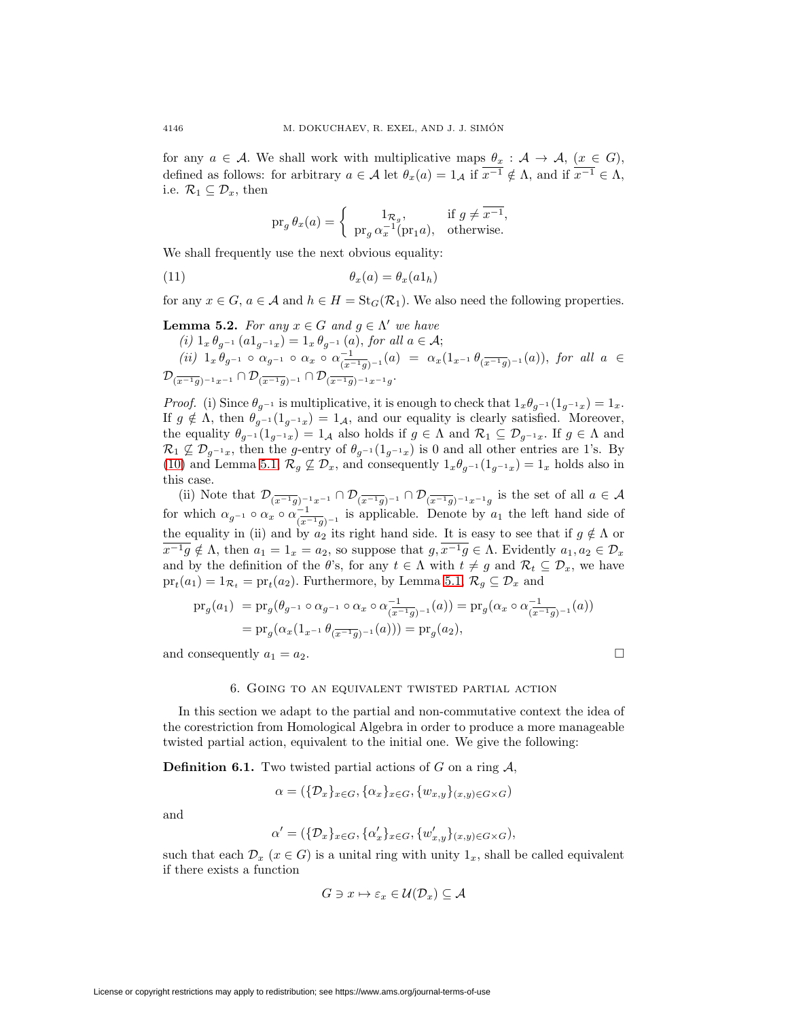for any  $a \in \mathcal{A}$ . We shall work with multiplicative maps  $\theta_x : \mathcal{A} \to \mathcal{A}$ ,  $(x \in G)$ , defined as follows: for arbitrary  $a \in \mathcal{A}$  let  $\theta_x(a)=1_{\mathcal{A}}$  if  $\overline{x^{-1}} \notin \Lambda$ , and if  $\overline{x^{-1}} \in \Lambda$ , i.e.  $\mathcal{R}_1 \subseteq \mathcal{D}_x$ , then

<span id="page-9-1"></span>
$$
\operatorname{pr}_g \theta_x(a) = \begin{cases} 1_{\mathcal{R}_g}, & \text{if } g \neq \overline{x^{-1}}, \\ \operatorname{pr}_g \alpha_x^{-1}(\operatorname{pr}_1 a), & \text{otherwise.} \end{cases}
$$

We shall frequently use the next obvious equality:

$$
\theta_x(a) = \theta_x(a1_h)
$$

<span id="page-9-2"></span>for any  $x \in G$ ,  $a \in \mathcal{A}$  and  $h \in H = \text{St}_G(\mathcal{R}_1)$ . We also need the following properties.

**Lemma 5.2.** For any 
$$
x \in G
$$
 and  $g \in \Lambda'$  we have  
\n(i)  $1_x \theta_{g^{-1}} (a1_{g^{-1}x}) = 1_x \theta_{g^{-1}} (a)$ , for all  $a \in A$ ;  
\n(ii)  $1_x \theta_{g^{-1}} \circ \alpha_{g^{-1}} \circ \alpha_x \circ \alpha_{\overline{(x^{-1}g)^{-1}}}(a) = \alpha_x (1_{x^{-1}} \theta_{\overline{(x^{-1}g)^{-1}}}(a))$ , for all  $a \in$   
\n $\mathcal{D}_{\overline{(x^{-1}g)^{-1}x^{-1}}} \cap \mathcal{D}_{\overline{(x^{-1}g)^{-1}}} \cap \mathcal{D}_{\overline{(x^{-1}g)^{-1}x^{-1}}g}$ .

*Proof.* (i) Since  $\theta_{q-1}$  is multiplicative, it is enough to check that  $1_x\theta_{q-1}(1_{q-1_x})=1_x$ . If  $g \notin \Lambda$ , then  $\theta_{g^{-1}}(1_{g^{-1}x})=1_A$ , and our equality is clearly satisfied. Moreover, the equality  $\theta_{g^{-1}}(1_{g^{-1}x})=1_A$  also holds if  $g \in \Lambda$  and  $\mathcal{R}_1 \subseteq \mathcal{D}_{g^{-1}x}$ . If  $g \in \Lambda$  and  $\mathcal{R}_1 \not\subseteq \mathcal{D}_{g^{-1}x}$ , then the g-entry of  $\theta_{g^{-1}}(1_{g^{-1}x})$  is 0 and all other entries are 1's. By [\(10\)](#page-8-1) and Lemma [5.1,](#page-8-0)  $\mathcal{R}_g \not\subseteq \mathcal{D}_x$ , and consequently  $1_x\theta_{g^{-1}}(1_{g^{-1}x})=1_x$  holds also in this case.

(ii) Note that  $\mathcal{D}_{(\overline{x^{-1}g})^{-1}x^{-1}} \cap \mathcal{D}_{(\overline{x^{-1}g})^{-1}} \cap \mathcal{D}_{(\overline{x^{-1}g})^{-1}x^{-1}g}$  is the set of all  $a \in \mathcal{A}$ for which  $\alpha_{g^{-1}} \circ \alpha_x \circ \alpha_{\overline{(x^{-1}g})^{-1}}^{-1}$  is applicable. Denote by  $a_1$  the left hand side of the equality in (ii) and by  $a_2$  its right hand side. It is easy to see that if  $g \notin \Lambda$  or  $\overline{x^{-1}g} \notin \Lambda$ , then  $a_1 = 1_x = a_2$ , so suppose that  $g, \overline{x^{-1}g} \in \Lambda$ . Evidently  $a_1, a_2 \in \mathcal{D}_x$ and by the definition of the  $\theta$ 's, for any  $t \in \Lambda$  with  $t \neq g$  and  $\mathcal{R}_t \subseteq \mathcal{D}_x$ , we have  $pr_t(a_1)=1_{\mathcal{R}_t} = pr_t(a_2)$ . Furthermore, by Lemma [5.1,](#page-8-0)  $\mathcal{R}_g \subseteq \mathcal{D}_x$  and

$$
\begin{aligned} \operatorname{pr}_g(a_1) &= \operatorname{pr}_g(\theta_{g^{-1}} \circ \alpha_{g^{-1}} \circ \alpha_x \circ \alpha_{\overline{(x^{-1}g})^{-1}}^{-1}(a)) = \operatorname{pr}_g(\alpha_x \circ \alpha_{\overline{(x^{-1}g})^{-1}}^{-1}(a)) \\ &= \operatorname{pr}_g(\alpha_x(1_{x^{-1}} \theta_{\overline{(x^{-1}g})^{-1}}(a))) = \operatorname{pr}_g(a_2), \end{aligned}
$$

<span id="page-9-0"></span>and consequently  $a_1 = a_2$ .

$$
\boxed{\phantom{0}}
$$

#### 6. Going to an equivalent twisted partial action

In this section we adapt to the partial and non-commutative context the idea of the corestriction from Homological Algebra in order to produce a more manageable twisted partial action, equivalent to the initial one. We give the following:

<span id="page-9-3"></span>**Definition 6.1.** Two twisted partial actions of G on a ring  $\mathcal{A}$ .

$$
\alpha = (\{\mathcal{D}_x\}_{x \in G}, \{\alpha_x\}_{x \in G}, \{w_{x,y}\}_{(x,y) \in G \times G})
$$

and

$$
\alpha' = (\{\mathcal{D}_x\}_{x \in G}, \{\alpha'_x\}_{x \in G}, \{w'_{x,y}\}_{(x,y) \in G \times G}),
$$

such that each  $\mathcal{D}_x$  ( $x \in G$ ) is a unital ring with unity  $1_x$ , shall be called equivalent if there exists a function

$$
G \ni x \mapsto \varepsilon_x \in \mathcal{U}(\mathcal{D}_x) \subseteq \mathcal{A}
$$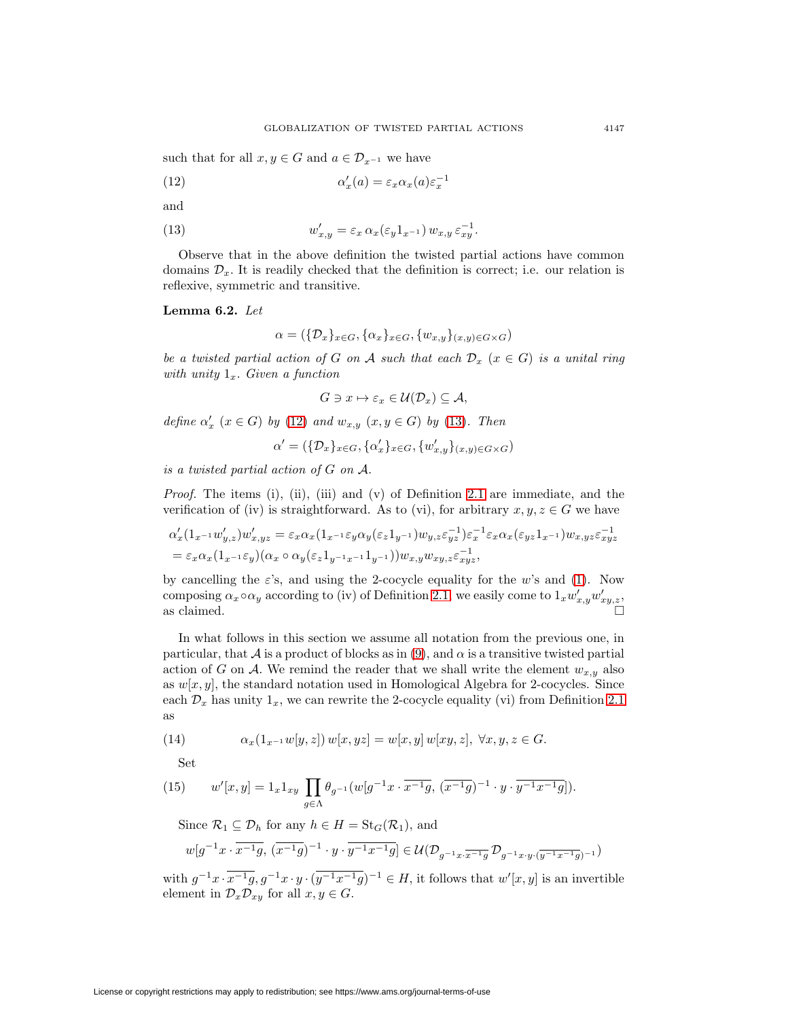<span id="page-10-0"></span>such that for all  $x, y \in G$  and  $a \in \mathcal{D}_{x^{-1}}$  we have

(12) 
$$
\alpha'_x(a) = \varepsilon_x \alpha_x(a) \varepsilon_x^{-1}
$$

<span id="page-10-1"></span>and

(13) 
$$
w'_{x,y} = \varepsilon_x \alpha_x(\varepsilon_y 1_{x^{-1}}) w_{x,y} \varepsilon_{xy}^{-1}.
$$

Observe that in the above definition the twisted partial actions have common domains  $\mathcal{D}_x$ . It is readily checked that the definition is correct; i.e. our relation is reflexive, symmetric and transitive.

## <span id="page-10-2"></span>**Lemma 6.2.** Let

$$
\alpha = (\{\mathcal{D}_x\}_{x \in G}, \{\alpha_x\}_{x \in G}, \{w_{x,y}\}_{(x,y) \in G \times G})
$$

be a twisted partial action of G on A such that each  $\mathcal{D}_x$  ( $x \in G$ ) is a unital ring with unity  $1_x$ . Given a function

$$
G \ni x \mapsto \varepsilon_x \in \mathcal{U}(\mathcal{D}_x) \subseteq \mathcal{A},
$$

define  $\alpha'_x$  ( $x \in G$ ) by [\(12\)](#page-10-0) and  $w_{x,y}$  ( $x, y \in G$ ) by [\(13\)](#page-10-1). Then

 $\alpha' = (\{\mathcal{D}_x\}_{x \in G}, \{\alpha'_x\}_{x \in G}, \{w'_{x,y}\}_{(x,y) \in G \times G})$ 

is a twisted partial action of G on A.

*Proof.* The items (i), (ii), (iii) and (v) of Definition [2.1](#page-2-0) are immediate, and the verification of (iv) is straightforward. As to (vi), for arbitrary  $x, y, z \in G$  we have

$$
\begin{aligned} &\alpha'_x(1_{x^{-1}}w'_{y,z})w'_{x,yz}=\varepsilon_x\alpha_x(1_{x^{-1}}\varepsilon_y\alpha_y(\varepsilon_z1_{y^{-1}})w_{y,z}\varepsilon_{yz}^{-1})\varepsilon_x^{-1}\varepsilon_x\alpha_x(\varepsilon_{yz}1_{x^{-1}})w_{x,yz}\varepsilon_{xyz}^{-1}\\ &=\varepsilon_x\alpha_x(1_{x^{-1}}\varepsilon_y)(\alpha_x\circ\alpha_y(\varepsilon_z1_{y^{-1}x^{-1}}1_{y^{-1}}))w_{x,y}w_{xy,z}\varepsilon_{xyz}^{-1}, \end{aligned}
$$

by cancelling the  $\varepsilon$ 's, and using the 2-cocycle equality for the w's and [\(1\)](#page-4-2). Now composing  $\alpha_x \circ \alpha_y$  according to (iv) of Definition [2.1,](#page-2-0) we easily come to  $1_x w'_{x,y} w'_{xy,z}$ , as claimed.

In what follows in this section we assume all notation from the previous one, in particular, that  $\mathcal A$  is a product of blocks as in [\(9\)](#page-8-2), and  $\alpha$  is a transitive twisted partial action of G on A. We remind the reader that we shall write the element  $w_{x,y}$  also as  $w[x, y]$ , the standard notation used in Homological Algebra for 2-cocycles. Since each  $\mathcal{D}_x$  has unity  $1_x$ , we can rewrite the 2-cocycle equality (vi) from Definition [2.1](#page-2-0) as

<span id="page-10-3"></span>(14) 
$$
\alpha_x(1_{x^{-1}}w[y,z]) w[x,yz] = w[x,y] w[xy,z], \forall x,y,z \in G.
$$

Set

(15) 
$$
w'[x,y] = 1_x 1_{xy} \prod_{g \in \Lambda} \theta_{g^{-1}} (w[g^{-1}x \cdot \overline{x^{-1}g}, (\overline{x^{-1}g})^{-1} \cdot y \cdot \overline{y^{-1}x^{-1}g}]).
$$

Since  $\mathcal{R}_1 \subseteq \mathcal{D}_h$  for any  $h \in H = \text{St}_G(\mathcal{R}_1)$ , and

$$
w[g^{-1}x \cdot \overline{x^{-1}g}, \, (\overline{x^{-1}g})^{-1} \cdot y \cdot \overline{y^{-1}x^{-1}g}] \in \mathcal{U}(\mathcal{D}_{g^{-1}x \cdot \overline{x^{-1}g}} \, \mathcal{D}_{g^{-1}x \cdot y \cdot (\overline{y^{-1}x^{-1}g})^{-1}})
$$

with  $g^{-1}x \cdot \overline{x^{-1}g}, g^{-1}x \cdot y \cdot (\overline{y^{-1}x^{-1}g})^{-1} \in H$ , it follows that  $w'[x, y]$  is an invertible element in  $\mathcal{D}_x \mathcal{D}_{xy}$  for all  $x, y \in G$ .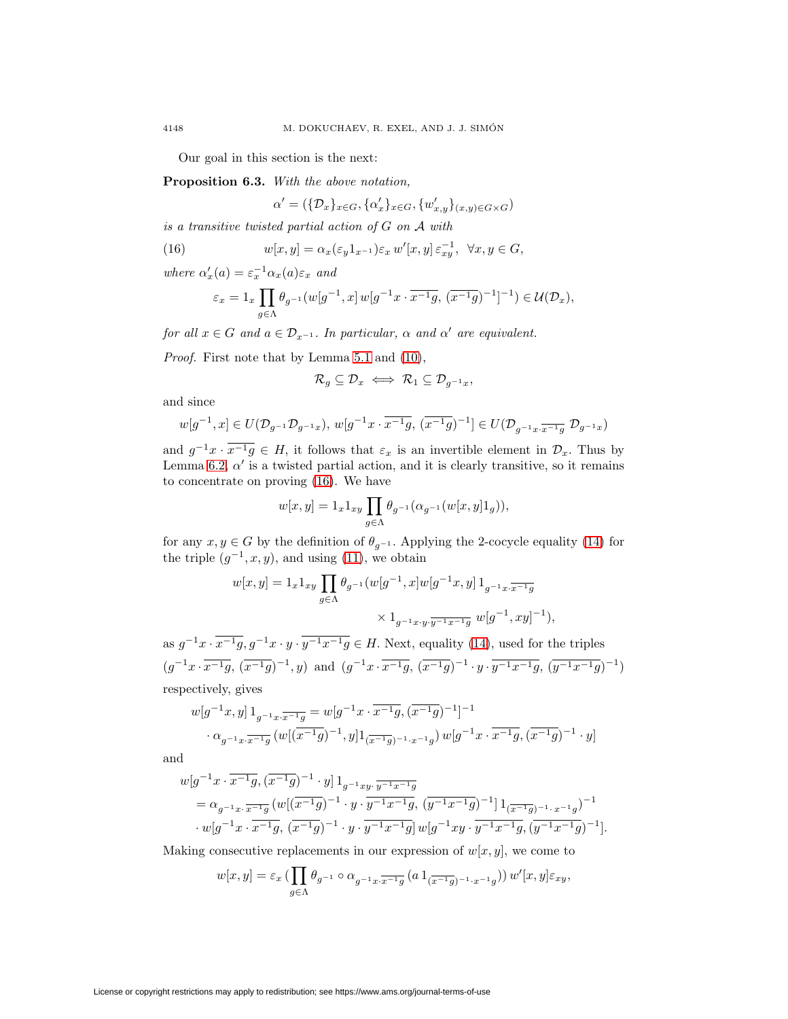Our goal in this section is the next:

**Proposition 6.3.** With the above notation,

<span id="page-11-0"></span> $\alpha' = (\{\mathcal{D}_x\}_{x \in G}, \{\alpha'_x\}_{x \in G}, \{w'_{x,y}\}_{(x,y) \in G \times G})$ 

is a transitive twisted partial action of  $G$  on  $A$  with

(16) 
$$
w[x, y] = \alpha_x(\varepsilon_y 1_{x^{-1}}) \varepsilon_x w'[x, y] \varepsilon_{xy}^{-1}, \ \forall x, y \in G,
$$

where  $\alpha'_x(a) = \varepsilon_x^{-1} \alpha_x(a) \varepsilon_x$  and

$$
\varepsilon_x = 1_x \prod_{g \in \Lambda} \theta_{g^{-1}}(w[g^{-1}, x] \, w[g^{-1}x \cdot \overline{x^{-1}g}, \, (\overline{x^{-1}g})^{-1}]^{-1}) \in \mathcal{U}(\mathcal{D}_x),
$$

for all  $x \in G$  and  $a \in \mathcal{D}_{x-1}$ . In particular,  $\alpha$  and  $\alpha'$  are equivalent.

Proof. First note that by Lemma [5.1](#page-8-0) and [\(10\)](#page-8-1),

$$
\mathcal{R}_g\subseteq \mathcal{D}_x \iff \mathcal{R}_1\subseteq \mathcal{D}_{g^{-1}x},
$$

and since

$$
w[g^{-1},x]\in U(\mathcal{D}_{g^{-1}}\mathcal{D}_{g^{-1}x}),\, w[g^{-1}x\cdot \overline{x^{-1}g},\, (\overline{x^{-1}g})^{-1}]\in U(\mathcal{D}_{g^{-1}x\cdot \overline{x^{-1}g}}\; \mathcal{D}_{g^{-1}x})
$$

and  $g^{-1}x \cdot \overline{x^{-1}g} \in H$ , it follows that  $\varepsilon_x$  is an invertible element in  $\mathcal{D}_x$ . Thus by Lemma [6.2,](#page-10-2)  $\alpha'$  is a twisted partial action, and it is clearly transitive, so it remains to concentrate on proving [\(16\)](#page-11-0). We have

$$
w[x,y]=1_x1_{xy}\prod_{g\in\Lambda}\theta_{g^{-1}}(\alpha_{g^{-1}}(w[x,y]1_g)),
$$

for any  $x, y \in G$  by the definition of  $\theta_{g^{-1}}$ . Applying the 2-cocycle equality [\(14\)](#page-10-3) for the triple  $(g^{-1}, x, y)$ , and using [\(11\)](#page-9-1), we obtain

$$
w[x,y] = 1_x 1_{xy} \prod_{g \in \Lambda} \theta_{g^{-1}}(w[g^{-1},x]w[g^{-1}x,y] 1_{g^{-1}x \cdot \overline{x^{-1}g}} \times 1_{g^{-1}x \cdot y \cdot \overline{y^{-1}x^{-1}g}} w[g^{-1},xy]^{-1}),
$$

as  $g^{-1}x \cdot \overline{x^{-1}g}$ ,  $g^{-1}x \cdot y \cdot \overline{y^{-1}x^{-1}g} \in H$ . Next, equality [\(14\)](#page-10-3), used for the triples  $(g^{-1}x\cdot \overline{x^{-1}g},\,(\overline{x^{-1}g})^{-1},y)$  and  $(g^{-1}x\cdot \overline{x^{-1}g},\,(\overline{x^{-1}g})^{-1}\cdot y\cdot \overline{y^{-1}x^{-1}g},\,(\overline{y^{-1}x^{-1}g})^{-1})$ respectively, gives

$$
w[g^{-1}x, y] 1_{g^{-1}x \cdot \overline{x^{-1}g}} = w[g^{-1}x \cdot \overline{x^{-1}g}, (\overline{x^{-1}g})^{-1}]^{-1}
$$

$$
\cdot \alpha_{g^{-1}x \cdot \overline{x^{-1}g}} (w[(\overline{x^{-1}g})^{-1}, y] 1_{(\overline{x^{-1}g})^{-1} \cdot x^{-1}g}) w[g^{-1}x \cdot \overline{x^{-1}g}, (\overline{x^{-1}g})^{-1} \cdot y]
$$

and

$$
w[g^{-1}x \cdot \overline{x^{-1}g}, (\overline{x^{-1}g})^{-1} \cdot y] 1_{g^{-1}xy} \cdot \overline{y^{-1}x^{-1}g}
$$
  
=  $\alpha_{g^{-1}x} \cdot \overline{x^{-1}g}$   $(w[(\overline{x^{-1}g})^{-1} \cdot y \cdot \overline{y^{-1}x^{-1}g}, (\overline{y^{-1}x^{-1}g})^{-1}] 1_{(\overline{x^{-1}g})^{-1} \cdot x^{-1}g})^{-1}$   
 $\cdot w[g^{-1}x \cdot \overline{x^{-1}g}, (\overline{x^{-1}g})^{-1} \cdot y \cdot \overline{y^{-1}x^{-1}g}] w[g^{-1}xy \cdot \overline{y^{-1}x^{-1}g}, (\overline{y^{-1}x^{-1}g})^{-1}].$ 

Making consecutive replacements in our expression of  $w[x, y]$ , we come to

$$
w[x,y] = \varepsilon_x \left( \prod_{g \in \Lambda} \theta_{g^{-1}} \circ \alpha_{g^{-1}x} \cdot \overline{x^{-1}g} \left( a \, 1_{\left( \overline{x^{-1}g} \right)^{-1} \cdot x^{-1}g} \right) \right) w'[x,y] \varepsilon_{xy},
$$

<span id="page-11-1"></span>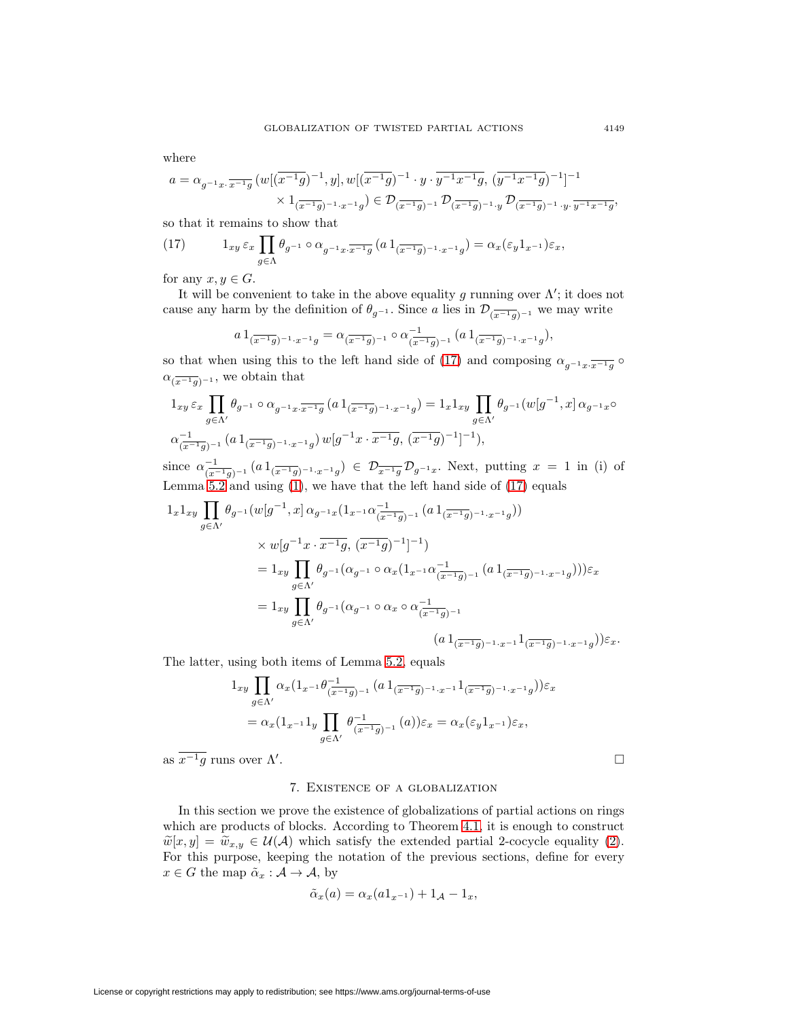where

$$
\begin{aligned} a&=\alpha_{g^{-1}x\cdot \overline{x^{-1}g}}\,(w[(\overline{x^{-1}g})^{-1},y],w[(\overline{x^{-1}g})^{-1}\cdot y\cdot \overline{y^{-1}x^{-1}g},\,(\overline{y^{-1}x^{-1}g})^{-1}]^{-1}\\ &\times 1_{(\overline{x^{-1}g})^{-1}\cdot x^{-1}g})\in \mathcal{D}_{(\overline{x^{-1}g})^{-1}}\,\mathcal{D}_{(\overline{x^{-1}g})^{-1}\cdot y}\,\mathcal{D}_{(\overline{x^{-1}g})^{-1}\cdot y\cdot \overline{y^{-1}x^{-1}g}}, \end{aligned}
$$

<span id="page-12-1"></span>so that it remains to show that

(17) 
$$
1_{xy} \varepsilon_x \prod_{g \in \Lambda} \theta_{g^{-1}} \circ \alpha_{g^{-1}x \cdot \overline{x^{-1}g}} \left( a \, 1_{\left( \overline{x^{-1}g} \right)^{-1} \cdot x^{-1}g} \right) = \alpha_x(\varepsilon_y 1_{x^{-1}}) \varepsilon_x,
$$

for any  $x, y \in G$ .

It will be convenient to take in the above equality g running over  $\Lambda'$ ; it does not cause any harm by the definition of  $\theta_{g^{-1}}$ . Since a lies in  $\mathcal{D}_{(\overline{x^{-1}g})^{-1}}$  we may write

$$
a \, 1_{(\overline{x^{-1}g})^{-1} \cdot x^{-1}g} = \alpha_{(\overline{x^{-1}g})^{-1}} \circ \alpha_{(\overline{x^{-1}g})^{-1}}^{-1} \, (a \, 1_{(\overline{x^{-1}g})^{-1} \cdot x^{-1}g}),
$$

so that when using this to the left hand side of [\(17\)](#page-12-1) and composing  $\alpha_{g^{-1}x\cdot x^{-1}g}$  ∘  $\alpha_{(\overline{x^{-1}q})^{-1}}$ , we obtain that

$$
\begin{aligned} &1_{xy}\,\varepsilon_x\,\prod_{g\in\Lambda'}\theta_{g^{-1}}\circ\alpha_{g^{-1}x\cdot\overline{x^{-1}g}}\,(a\,1_{(\overline{x^{-1}g})^{-1}\cdot x^{-1}g})=1_x1_{xy}\,\prod_{g\in\Lambda'}\theta_{g^{-1}}(w[g^{-1},x]\,\alpha_{g^{-1}x}\circ\\ &\alpha_{(\overline{x^{-1}g})^{-1}}^{-1}\,(a\,1_{(\overline{x^{-1}g})^{-1}\cdot x^{-1}g})\,w[g^{-1}x\cdot\overline{x^{-1}g},\,(\overline{x^{-1}g})^{-1}]^{-1}), \end{aligned}
$$

since  $\alpha_{(x^{-1}g)^{-1}}^{-1} (a 1_{(\overline{x^{-1}g})^{-1} \cdot x^{-1}g}) \in \mathcal{D}_{\overline{x^{-1}g}} \mathcal{D}_{g^{-1}x}$ . Next, putting  $x = 1$  in (i) of Lemma  $5.2$  and using  $(1)$ , we have that the left hand side of  $(17)$  equals

$$
1_{x}1_{xy} \prod_{g \in \Lambda'} \theta_{g^{-1}}(w[g^{-1}, x] \alpha_{g^{-1}x} (1_{x^{-1}} \alpha_{\overline{(x^{-1}g})^{-1}}^{-1} (a 1_{\overline{(x^{-1}g})^{-1} \cdot x^{-1}g}))
$$
  
\n
$$
\times w[g^{-1}x \cdot \overline{x^{-1}g}, (\overline{x^{-1}g})^{-1}]^{-1})
$$
  
\n
$$
= 1_{xy} \prod_{g \in \Lambda'} \theta_{g^{-1}} (\alpha_{g^{-1}} \circ \alpha_{x} (1_{x^{-1}} \alpha_{\overline{(x^{-1}g})^{-1}}^{-1} (a 1_{\overline{(x^{-1}g})^{-1} \cdot x^{-1}g}))) \varepsilon_x
$$
  
\n
$$
= 1_{xy} \prod_{g \in \Lambda'} \theta_{g^{-1}} (\alpha_{g^{-1}} \circ \alpha_{x} \circ \alpha_{\overline{(x^{-1}g})^{-1}}^{-1} (a 1_{\overline{(x^{-1}g})^{-1} \cdot x^{-1}g})) \varepsilon_x.
$$
  
\n
$$
(a 1_{\overline{(x^{-1}g})^{-1} \cdot x^{-1}} 1_{\overline{(x^{-1}g})^{-1} \cdot x^{-1}g})) \varepsilon_x.
$$

The latter, using both items of Lemma [5.2,](#page-9-2) equals

$$
1_{xy} \prod_{g \in \Lambda'} \alpha_x (1_{x^{-1}} \theta_{(\overline{x^{-1}g})^{-1}}^{-1} (a 1_{(\overline{x^{-1}g})^{-1} \cdot x^{-1}} 1_{(\overline{x^{-1}g})^{-1} \cdot x^{-1}g})) \varepsilon_x
$$
  
=  $\alpha_x (1_{x^{-1}} 1_y \prod_{g \in \Lambda'} \theta_{(\overline{x^{-1}g})^{-1}}^{-1} (a)) \varepsilon_x = \alpha_x (\varepsilon_y 1_{x^{-1}}) \varepsilon_x,$ 

<span id="page-12-0"></span>as  $\overline{x^{-1}g}$  runs over  $\Lambda'$ .

. The contract of the contract of the contract of  $\Box$  $\Box$ 

## 7. Existence of a globalization

In this section we prove the existence of globalizations of partial actions on rings which are products of blocks. According to Theorem [4.1,](#page-4-1) it is enough to construct  $\widetilde{w}[x,y] = \widetilde{w}_{x,y} \in \mathcal{U}(\mathcal{A})$  which satisfy the extended partial 2-cocycle equality [\(2\)](#page-4-3). For this purpose, keeping the notation of the previous sections, define for every  $x \in G$  the map  $\tilde{\alpha}_x : A \to A$ , by

$$
\tilde{\alpha}_x(a) = \alpha_x(a1_{x^{-1}}) + 1_{\mathcal{A}} - 1_x,
$$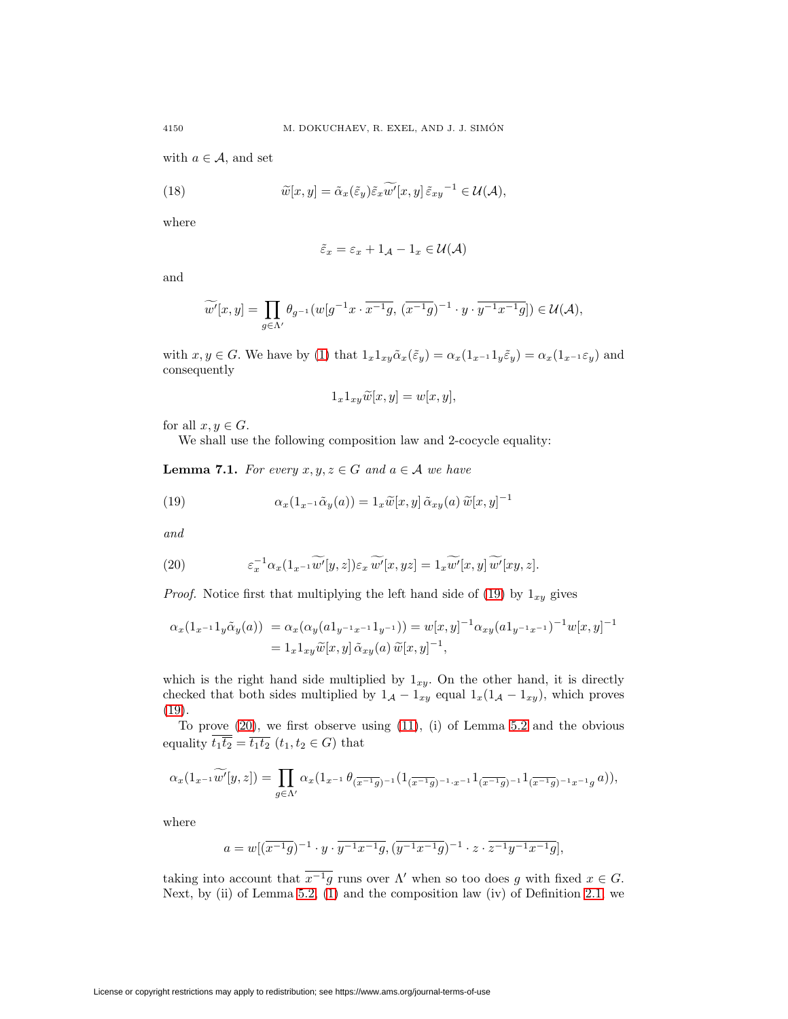<span id="page-13-2"></span>with  $a \in \mathcal{A}$ , and set

(18) 
$$
\widetilde{w}[x,y] = \widetilde{\alpha}_x(\widetilde{\varepsilon}_y)\widetilde{\varepsilon}_x\widetilde{w'}[x,y]\widetilde{\varepsilon}_{xy}^{-1} \in \mathcal{U}(\mathcal{A}),
$$

where

$$
\tilde{\varepsilon}_x = \varepsilon_x + 1_{\mathcal{A}} - 1_x \in \mathcal{U}(\mathcal{A})
$$

and

$$
\widetilde{w'}[x,y] = \prod_{g \in \Lambda'} \theta_{g^{-1}}(w[g^{-1}x \cdot \overline{x^{-1}g}, (\overline{x^{-1}g})^{-1} \cdot y \cdot \overline{y^{-1}x^{-1}g}]) \in \mathcal{U}(\mathcal{A}),
$$

with  $x, y \in G$ . We have by [\(1\)](#page-4-2) that  $1_x 1_{xy} \tilde{\alpha}_x(\tilde{\epsilon}_y) = \alpha_x(1_{x^{-1}} 1_y \tilde{\epsilon}_y) = \alpha_x(1_{x^{-1}} \epsilon_y)$  and consequently

<span id="page-13-0"></span>
$$
1_x 1_{xy} \widetilde{w}[x, y] = w[x, y],
$$

for all  $x, y \in G$ .

We shall use the following composition law and 2-cocycle equality:

**Lemma 7.1.** For every  $x, y, z \in G$  and  $a \in A$  we have

(19) 
$$
\alpha_x(1_{x^{-1}}\tilde{\alpha}_y(a)) = 1_x\tilde{w}[x,y]\tilde{\alpha}_{xy}(a)\tilde{w}[x,y]^{-1}
$$

<span id="page-13-1"></span>and

(20) 
$$
\varepsilon_x^{-1} \alpha_x (1_{x^{-1}} \widetilde{w'}[y, z]) \varepsilon_x \widetilde{w'}[x, yz] = 1_x \widetilde{w'}[x, y] \widetilde{w'}[xy, z].
$$

*Proof.* Notice first that multiplying the left hand side of [\(19\)](#page-13-0) by  $1_{xy}$  gives

$$
\alpha_x(1_{x^{-1}}1_y\tilde{\alpha}_y(a)) = \alpha_x(\alpha_y(a1_{y^{-1}x^{-1}}1_{y^{-1}})) = w[x,y]^{-1}\alpha_{xy}(a1_{y^{-1}x^{-1}})^{-1}w[x,y]^{-1}
$$
  
=  $1_x1_{xy}\tilde{w}[x,y]\tilde{\alpha}_{xy}(a)\tilde{w}[x,y]^{-1},$ 

which is the right hand side multiplied by  $1_{xy}$ . On the other hand, it is directly checked that both sides multiplied by  $1_A - 1_{xy}$  equal  $1_x(1_A - 1_{xy})$ , which proves [\(19\)](#page-13-0).

To prove [\(20\)](#page-13-1), we first observe using [\(11\)](#page-9-1), (i) of Lemma [5.2](#page-9-2) and the obvious equality  $\overline{t_1}\overline{t_2} = \overline{t_1}\overline{t_2}$   $(t_1, t_2 \in G)$  that

$$
\alpha_x(1_{x^{-1}}\widetilde{w'}[y,z])=\prod_{g\in\Lambda'}\alpha_x(1_{x^{-1}}\,\theta_{(\overline{x^{-1}g})^{-1}}(1_{(\overline{x^{-1}g})^{-1}\cdot x^{-1}}1_{(\overline{x^{-1}g})^{-1}}1_{(\overline{x^{-1}g})^{-1}x^{-1}g} \,a)),
$$

where

$$
a = w[(\overline{x^{-1}g})^{-1} \cdot y \cdot \overline{y^{-1}x^{-1}g}, (\overline{y^{-1}x^{-1}g})^{-1} \cdot z \cdot \overline{z^{-1}y^{-1}x^{-1}g}],
$$

taking into account that  $\overline{x^{-1}g}$  runs over  $\Lambda'$  when so too does g with fixed  $x \in G$ . Next, by (ii) of Lemma [5.2,](#page-9-2) [\(1\)](#page-4-2) and the composition law (iv) of Definition [2.1,](#page-2-0) we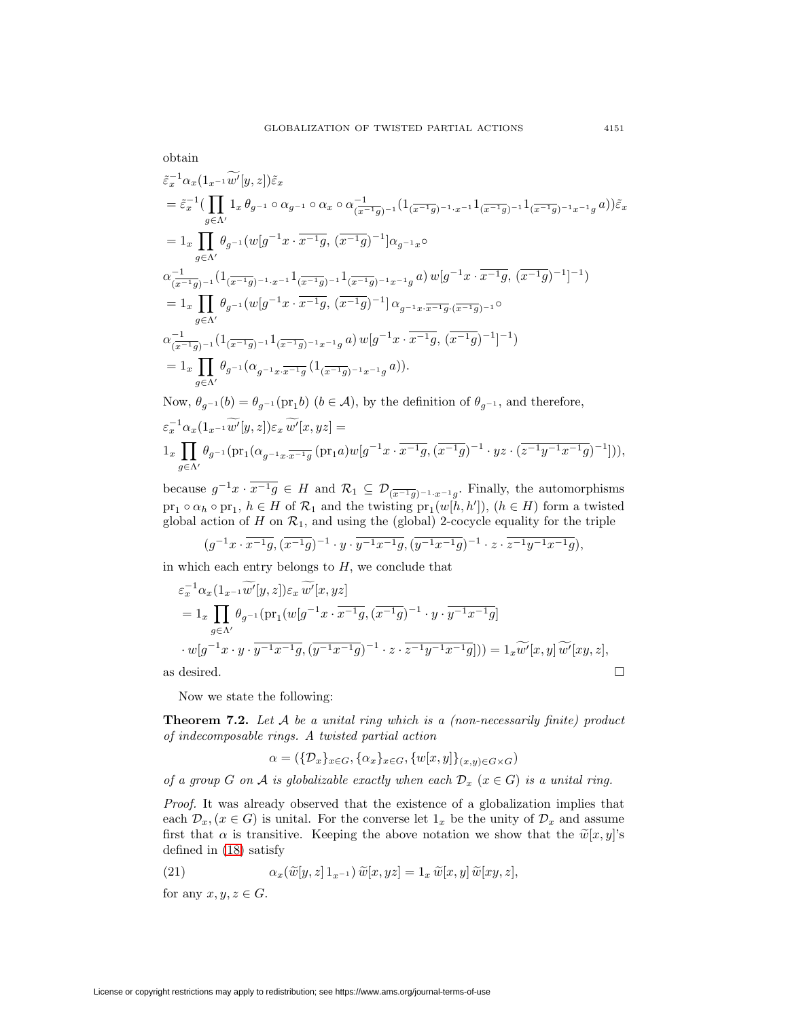obtain

$$
\begin{split} &\tilde{\varepsilon}_{x}^{-1}\alpha_{x}\big(1_{x^{-1}}\widetilde{w}'[y,z]\big)\tilde{\varepsilon}_{x} \\ &=\tilde{\varepsilon}_{x}^{-1}\big(\prod_{g\in\Lambda'}1_{x}\,\theta_{g^{-1}}\circ\alpha_{g^{-1}}\circ\alpha_{x}\circ\alpha_{(\overline{x^{-1}g})^{-1}}^{-1}\big(1_{(\overline{x^{-1}g})^{-1}\cdot x^{-1}}1_{(\overline{x^{-1}g})^{-1}}1_{(\overline{x^{-1}g})^{-1}x^{-1}g}\,a\big)\big)\tilde{\varepsilon}_{x} \\ &=1_{x}\prod_{g\in\Lambda'}\theta_{g^{-1}}\big(w[g^{-1}x\cdot\overline{x^{-1}g},\,(\overline{x^{-1}g})^{-1}\big]\alpha_{g^{-1}x}\circ\\ &\alpha_{(\overline{x^{-1}g})^{-1}}^{-1}\big(1_{(\overline{x^{-1}g})^{-1}\cdot x^{-1}}1_{(\overline{x^{-1}g})^{-1}}1_{(\overline{x^{-1}g})^{-1}x^{-1}g}\,a\big)\,w[g^{-1}x\cdot\overline{x^{-1}g},\,(\overline{x^{-1}g})^{-1}\big]^{-1}\big) \\ &=1_{x}\prod_{g\in\Lambda'}\theta_{g^{-1}}\big(w[g^{-1}x\cdot\overline{x^{-1}g},\,(\overline{x^{-1}g})^{-1}\big]\,\alpha_{g^{-1}x\cdot\overline{x^{-1}g} \cdot(\overline{x^{-1}g})^{-1}}\circ\\ &\alpha_{(\overline{x^{-1}g})^{-1}}^{-1}\big(1_{(\overline{x^{-1}g})^{-1}}1_{(\overline{x^{-1}g})^{-1}x^{-1}g}\,a\big)\,w[g^{-1}x\cdot\overline{x^{-1}g},\,(\overline{x^{-1}g})^{-1}\big]^{-1}\big) \\ &=1_{x}\prod_{g\in\Lambda'}\theta_{g^{-1}}\big(\alpha_{g^{-1}x\cdot\overline{x^{-1}g}}\big(1_{(\overline{x^{-1}g})^{-1}x^{-1}g}\,a\big)\big).\\ &\text{Now, }\theta_{g^{-1}}(b)=\theta_{g^{-1}}\big(\text{pr}_1b\big)\,\,(b\in\mathcal{A}),\text{ by the definition of }\theta_{g^{-1}},\text{ and therefore,} \end{split}
$$

$$
\begin{split} &\varepsilon_x^{-1}\alpha_x(1_{x^{-1}}\widetilde{w'}[y,z])\varepsilon_x\,\widetilde{w'}[x,yz]= \\ &1_x\prod_{g\in\Lambda'}\theta_{g^{-1}}(\mathrm{pr}_1(\alpha_{g^{-1}x\cdot\overline{x^{-1}g}}(\mathrm{pr}_1a)w[g^{-1}x\cdot\overline{x^{-1}g},(\overline{x^{-1}g})^{-1}\cdot yz\cdot(\overline{z^{-1}y^{-1}x^{-1}g})^{-1}])), \end{split}
$$

because  $g^{-1}x \cdot \overline{x^{-1}g} \in H$  and  $\mathcal{R}_1 \subseteq \mathcal{D}_{(\overline{x^{-1}g})^{-1} \cdot x^{-1}g}$ . Finally, the automorphisms  $\text{pr}_1 \circ \alpha_h \circ \text{pr}_1, h \in H$  of  $\mathcal{R}_1$  and the twisting  $\text{pr}_1(w[h, h'])$ ,  $(h \in H)$  form a twisted global action of H on  $\mathcal{R}_1$ , and using the (global) 2-cocycle equality for the triple

$$
(g^{-1}x \cdot \overline{x^{-1}g}, (\overline{x^{-1}g})^{-1} \cdot y \cdot \overline{y^{-1}x^{-1}g}, (\overline{y^{-1}x^{-1}g})^{-1} \cdot z \cdot \overline{z^{-1}y^{-1}x^{-1}g}),
$$

in which each entry belongs to  $H$ , we conclude that

$$
\varepsilon_x^{-1} \alpha_x (1_{x^{-1}} \widetilde{w'}[y, z]) \varepsilon_x \widetilde{w'}[x, yz]
$$
\n
$$
= 1_x \prod_{g \in \Lambda'} \theta_{g^{-1}} (\mathrm{pr}_1(w[g^{-1}x \cdot \overline{x^{-1}g}, (\overline{x^{-1}g})^{-1} \cdot y \cdot \overline{y^{-1}x^{-1}g})
$$
\n
$$
\cdot w[g^{-1}x \cdot y \cdot \overline{y^{-1}x^{-1}g}, (\overline{y^{-1}x^{-1}g})^{-1} \cdot z \cdot \overline{z^{-1}y^{-1}x^{-1}g}]) ) = 1_x \widetilde{w'}[x, y] \widetilde{w'}[xy, z],
$$
\nas desired.

Now we state the following:

**Theorem 7.2.** Let A be a unital ring which is a (non-necessarily finite) product of indecomposable rings. A twisted partial action

$$
\alpha = (\{\mathcal{D}_x\}_{x \in G}, \{\alpha_x\}_{x \in G}, \{w[x, y]\}_{(x, y) \in G \times G})
$$

of a group G on A is globalizable exactly when each  $\mathcal{D}_x$  ( $x \in G$ ) is a unital ring.

Proof. It was already observed that the existence of a globalization implies that each  $\mathcal{D}_x$ ,  $(x \in G)$  is unital. For the converse let  $1_x$  be the unity of  $\mathcal{D}_x$  and assume first that  $\alpha$  is transitive. Keeping the above notation we show that the  $\tilde{w}[x, y]$ 's defined in [\(18\)](#page-13-2) satisfy

<span id="page-14-0"></span>(21) 
$$
\alpha_x(\widetilde{w}[y,z]1_{x^{-1}})\widetilde{w}[x,yz] = 1_x \widetilde{w}[x,y]\widetilde{w}[xy,z],
$$

for any  $x, y, z \in G$ .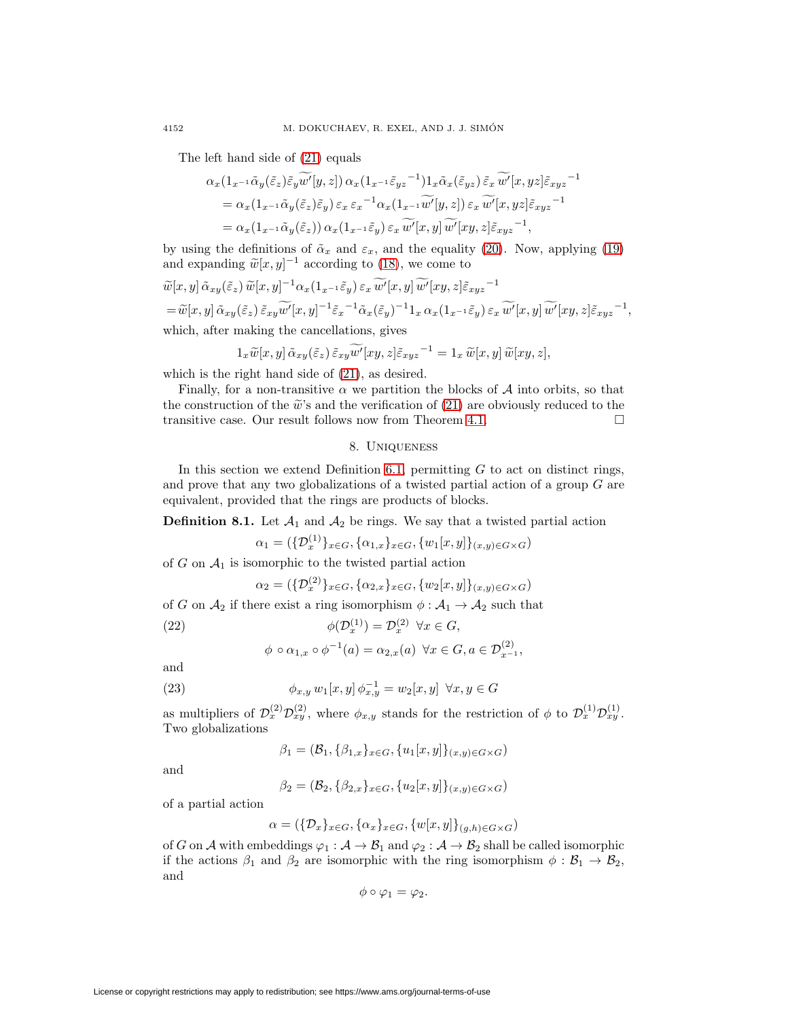The left hand side of [\(21\)](#page-14-0) equals

$$
\alpha_x(1_{x^{-1}}\tilde{\alpha}_y(\tilde{\varepsilon}_z)\tilde{\varepsilon}_y\tilde{w}'[y,z])\alpha_x(1_{x^{-1}}\tilde{\varepsilon}_{yz}^{-1})1_x\tilde{\alpha}_x(\tilde{\varepsilon}_{yz})\tilde{\varepsilon}_x\tilde{w}'[x,yz]\tilde{\varepsilon}_{xyz}^{-1}
$$
  
=  $\alpha_x(1_{x^{-1}}\tilde{\alpha}_y(\tilde{\varepsilon}_z)\tilde{\varepsilon}_y)\varepsilon_x\varepsilon_x^{-1}\alpha_x(1_{x^{-1}}\tilde{w}'[y,z])\varepsilon_x\tilde{w}'[x,yz]\tilde{\varepsilon}_{xyz}^{-1}$   
=  $\alpha_x(1_{x^{-1}}\tilde{\alpha}_y(\tilde{\varepsilon}_z))\alpha_x(1_{x^{-1}}\tilde{\varepsilon}_y)\varepsilon_x\tilde{w}'[x,y]\tilde{w}'[xy,z]\tilde{\varepsilon}_{xyz}^{-1},$ 

by using the definitions of  $\tilde{\alpha}_x$  and  $\varepsilon_x$ , and the equality [\(20\)](#page-13-1). Now, applying [\(19\)](#page-13-0) and expanding  $\tilde{w}[x, y]^{-1}$  according to [\(18\)](#page-13-2), we come to

$$
\widetilde{w}[x,y] \tilde{\alpha}_{xy}(\tilde{\varepsilon}_z) \widetilde{w}[x,y]^{-1} \alpha_x (1_{x^{-1}} \tilde{\varepsilon}_y) \varepsilon_x \widetilde{w'}[x,y] \widetilde{w'}[xy,z] \tilde{\varepsilon}_{xyz}^{-1}
$$
  
=  $\widetilde{w}[x,y] \tilde{\alpha}_{xy}(\tilde{\varepsilon}_z) \tilde{\varepsilon}_{xy} \widetilde{w'}[x,y]^{-1} \tilde{\varepsilon}_x^{-1} \tilde{\alpha}_x (\tilde{\varepsilon}_y)^{-1} 1_x \alpha_x (1_{x^{-1}} \tilde{\varepsilon}_y) \varepsilon_x \widetilde{w'}[x,y] \widetilde{w'}[xy,z] \tilde{\varepsilon}_{xyz}^{-1},$ 

which, after making the cancellations, gives

$$
1_x\widetilde{w}[x,y]\,\widetilde{\alpha}_{xy}(\widetilde{\varepsilon}_z)\,\widetilde{\varepsilon}_{xy}\widetilde{w'}[xy,z]\widetilde{\varepsilon}_{xyz}^{-1} = 1_x\,\widetilde{w}[x,y]\,\widetilde{w}[xy,z],
$$

which is the right hand side of [\(21\)](#page-14-0), as desired.

Finally, for a non-transitive  $\alpha$  we partition the blocks of  $\mathcal A$  into orbits, so that the construction of the  $\tilde{w}$ 's and the verification of [\(21\)](#page-14-0) are obviously reduced to the transitive case. Our result follows now from Theorem [4.1.](#page-4-1)  $\Box$ 

## <span id="page-15-2"></span>8. Uniqueness

<span id="page-15-0"></span>In this section we extend Definition [6.1,](#page-9-3) permitting  $G$  to act on distinct rings, and prove that any two globalizations of a twisted partial action of a group G are equivalent, provided that the rings are products of blocks.

**Definition 8.1.** Let  $A_1$  and  $A_2$  be rings. We say that a twisted partial action

$$
\alpha_1 = (\{\mathcal{D}_x^{(1)}\}_{x \in G}, \{\alpha_{1,x}\}_{x \in G}, \{w_1[x, y]\}_{(x, y) \in G \times G})
$$

of G on  $A_1$  is isomorphic to the twisted partial action

$$
\alpha_2 = (\{\mathcal{D}_x^{(2)}\}_{x \in G}, \{\alpha_{2,x}\}_{x \in G}, \{w_2[x, y]\}_{(x, y) \in G \times G})
$$

of G on  $A_2$  if there exist a ring isomorphism  $\phi : A_1 \to A_2$  such that

(22)  $\phi(\mathcal{D}_x^{(1)}) = \mathcal{D}_x^{(2)} \quad \forall x \in G,$ 

$$
\phi \circ \alpha_{1,x} \circ \phi^{-1}(a) = \alpha_{2,x}(a) \ \forall x \in G, a \in \mathcal{D}_{x^{-1}}^{(2)},
$$

<span id="page-15-1"></span>and

(23) 
$$
\phi_{x,y} w_1[x,y] \phi_{x,y}^{-1} = w_2[x,y] \ \forall x,y \in G
$$

as multipliers of  $\mathcal{D}_x^{(2)} \mathcal{D}_{xy}^{(2)}$ , where  $\phi_{x,y}$  stands for the restriction of  $\phi$  to  $\mathcal{D}_x^{(1)} \mathcal{D}_{xy}^{(1)}$ . Two globalizations

$$
\beta_1 = (\mathcal{B}_1, \{\beta_{1,x}\}_{x \in G}, \{u_1[x,y]\}_{(x,y) \in G \times G})
$$

and

$$
\beta_2 = (\mathcal{B}_2, \{\beta_{2,x}\}_{x \in G}, \{u_2[x,y]\}_{(x,y) \in G \times G})
$$

of a partial action

$$
\alpha = (\{\mathcal{D}_x\}_{x \in G}, \{\alpha_x\}_{x \in G}, \{w[x, y]\}_{(g, h) \in G \times G})
$$

of G on A with embeddings  $\varphi_1 : A \to B_1$  and  $\varphi_2 : A \to B_2$  shall be called isomorphic if the actions  $\beta_1$  and  $\beta_2$  are isomorphic with the ring isomorphism  $\phi : \mathcal{B}_1 \to \mathcal{B}_2$ , and

$$
\phi \circ \varphi_1 = \varphi_2.
$$

License or copyright restrictions may apply to redistribution; see https://www.ams.org/journal-terms-of-use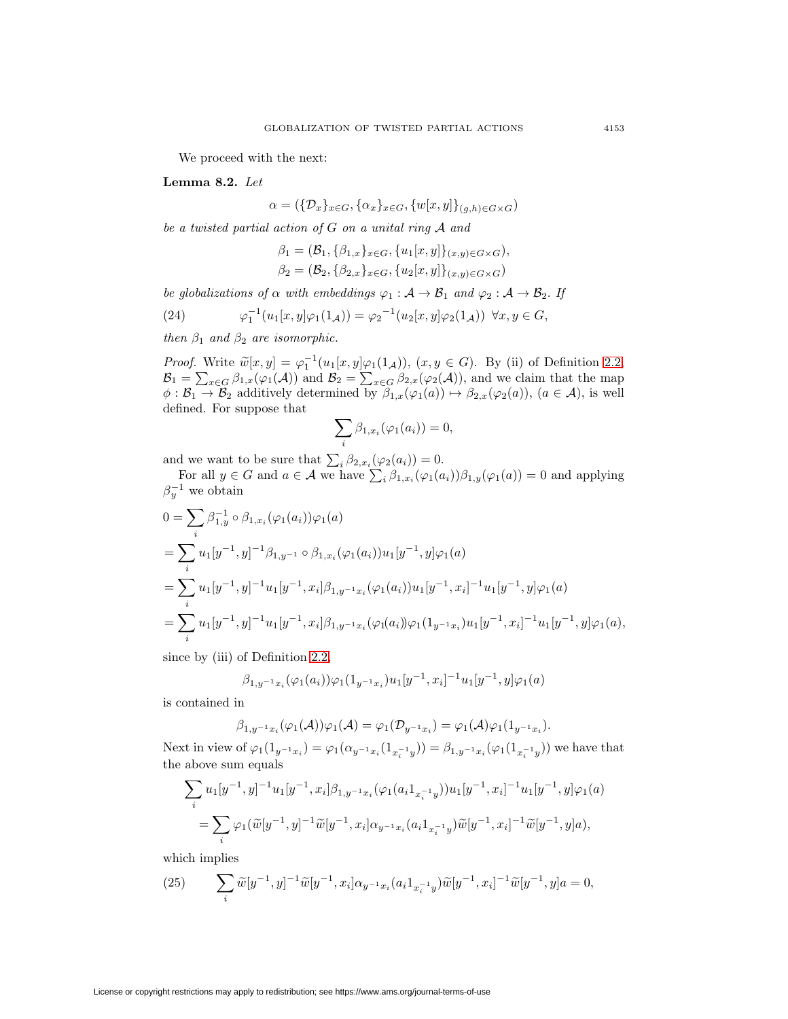We proceed with the next:

<span id="page-16-2"></span>**Lemma 8.2.** Let

 $\alpha = (\{\mathcal{D}_x\}_{x \in G}, \{\alpha_x\}_{x \in G}, \{w[x, y]\}_{(q, h) \in G \times G})$ 

be a twisted partial action of G on a unital ring A and

$$
\beta_1 = (\mathcal{B}_1, \{\beta_{1,x}\}_{x \in G}, \{u_1[x, y]\}_{(x, y) \in G \times G}),
$$
  

$$
\beta_2 = (\mathcal{B}_2, \{\beta_{2,x}\}_{x \in G}, \{u_2[x, y]\}_{(x, y) \in G \times G})
$$

be globalizations of  $\alpha$  with embeddings  $\varphi_1 : A \to B_1$  and  $\varphi_2 : A \to B_2$ . If

(24) 
$$
\varphi_1^{-1}(u_1[x,y]\varphi_1(1_{\mathcal{A}})) = \varphi_2^{-1}(u_2[x,y]\varphi_2(1_{\mathcal{A}})) \ \forall x, y \in G,
$$

then  $\beta_1$  and  $\beta_2$  are isomorphic.

*Proof.* Write  $\widetilde{w}[x, y] = \varphi_1^{-1}(u_1[x, y]\varphi_1(1_A)), (x, y \in G)$ . By (ii) of Definition [2.2,](#page-2-1)  $\mathcal{B}_1 = \sum_{x \in G} \beta_{1,x}(\varphi_1(\mathcal{A}))$  and  $\mathcal{B}_2 = \sum_{x \in G} \beta_{2,x}(\varphi_2(\mathcal{A}))$ , and we claim that the map  $\phi : \mathcal{B}_1 \to \mathcal{B}_2$  additively determined by  $\beta_{1,x}(\varphi_1(a)) \mapsto \beta_{2,x}(\varphi_2(a)),$   $(a \in \mathcal{A})$ , is well defined. For suppose that

<span id="page-16-1"></span>
$$
\sum_i \beta_{1,x_i}(\varphi_1(a_i)) = 0,
$$

and we want to be sure that  $\sum_i \beta_{2,x_i}(\varphi_2(a_i)) = 0$ .

For all  $y \in G$  and  $a \in \mathcal{A}$  we have  $\sum_i \beta_{1,x_i}(\varphi_1(a_i))\beta_{1,y}(\varphi_1(a)) = 0$  and applying  $\beta_y^{-1}$  we obtain

$$
0 = \sum_{i} \beta_{1,y}^{-1} \circ \beta_{1,x_i}(\varphi_1(a_i))\varphi_1(a)
$$
  
= 
$$
\sum_{i} u_1[y^{-1}, y]^{-1} \beta_{1,y^{-1}} \circ \beta_{1,x_i}(\varphi_1(a_i))u_1[y^{-1}, y]\varphi_1(a)
$$
  
= 
$$
\sum_{i} u_1[y^{-1}, y]^{-1} u_1[y^{-1}, x_i] \beta_{1,y^{-1}x_i}(\varphi_1(a_i))u_1[y^{-1}, x_i]^{-1} u_1[y^{-1}, y]\varphi_1(a)
$$
  
= 
$$
\sum_{i} u_1[y^{-1}, y]^{-1} u_1[y^{-1}, x_i] \beta_{1,y^{-1}x_i}(\varphi_1(a_i))\varphi_1(1_{y^{-1}x_i})u_1[y^{-1}, x_i]^{-1} u_1[y^{-1}, y]\varphi_1(a),
$$

since by (iii) of Definition [2.2,](#page-2-1)

$$
\beta_{1,y^{-1}x_i}(\varphi_1(a_i))\varphi_1(1_{y^{-1}x_i})u_1[y^{-1},x_i]^{-1}u_1[y^{-1},y]\varphi_1(a)
$$

is contained in

$$
\beta_{1,y^{-1}x_i}(\varphi_1(\mathcal{A}))\varphi_1(\mathcal{A})=\varphi_1(\mathcal{D}_{y^{-1}x_i})=\varphi_1(\mathcal{A})\varphi_1(1_{y^{-1}x_i}).
$$

Next in view of  $\varphi_1(1_{y^{-1}x_i}) = \varphi_1(\alpha_{y^{-1}x_i}(1_{x_i^{-1}y})) = \beta_{1,y^{-1}x_i}(\varphi_1(1_{x_i^{-1}y}))$  we have that the above sum equals

$$
\sum_{i} u_1[y^{-1}, y]^{-1} u_1[y^{-1}, x_i] \beta_{1,y^{-1}x_i} (\varphi_1(a_i 1_{x_i^{-1}y})) u_1[y^{-1}, x_i]^{-1} u_1[y^{-1}, y] \varphi_1(a)
$$
  
= 
$$
\sum_{i} \varphi_1(\widetilde{w}[y^{-1}, y]^{-1} \widetilde{w}[y^{-1}, x_i] \alpha_{y^{-1}x_i} (a_i 1_{x_i^{-1}y}) \widetilde{w}[y^{-1}, x_i]^{-1} \widetilde{w}[y^{-1}, y] a),
$$

<span id="page-16-0"></span>which implies

(25) 
$$
\sum_{i} \widetilde{w}[y^{-1}, y]^{-1} \widetilde{w}[y^{-1}, x_i] \alpha_{y^{-1}x_i} (a_i 1_{x_i^{-1}y}) \widetilde{w}[y^{-1}, x_i]^{-1} \widetilde{w}[y^{-1}, y] a = 0,
$$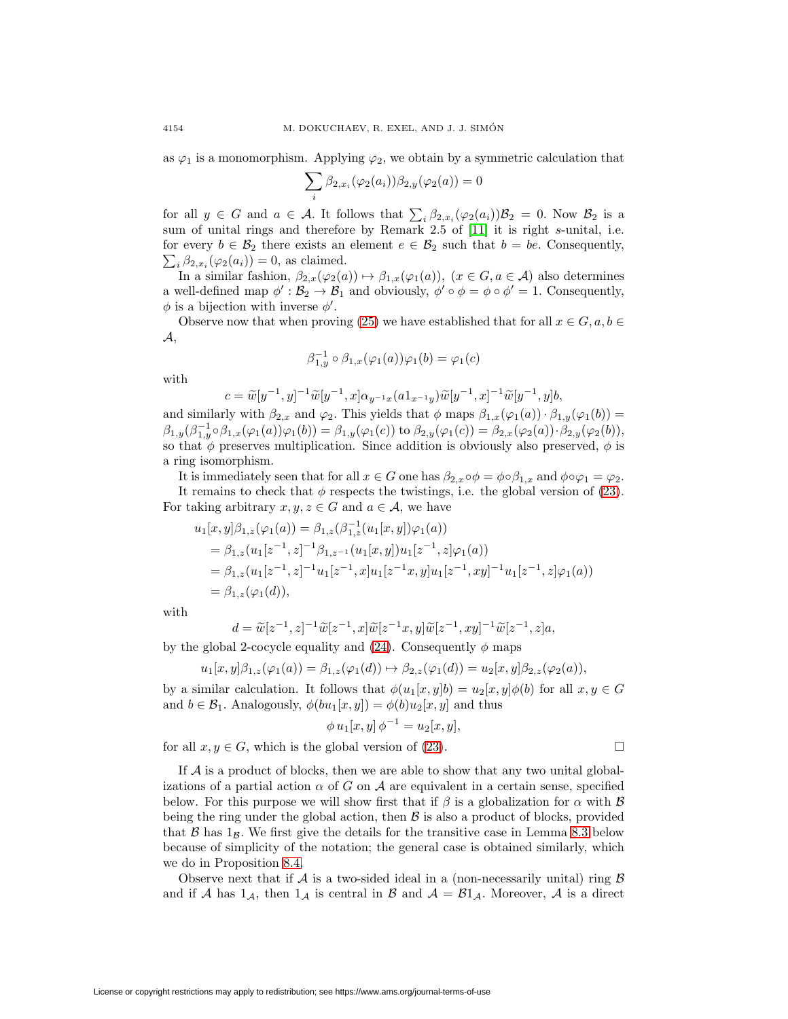as  $\varphi_1$  is a monomorphism. Applying  $\varphi_2$ , we obtain by a symmetric calculation that

$$
\sum_i \beta_{2,x_i}(\varphi_2(a_i))\beta_{2,y}(\varphi_2(a))=0
$$

for all  $y \in G$  and  $a \in \mathcal{A}$ . It follows that  $\sum_i \beta_{2,x_i}(\varphi_2(a_i))\mathcal{B}_2 = 0$ . Now  $\mathcal{B}_2$  is a sum of unital rings and therefore by Remark 2.5 of [\[11\]](#page-23-5) it is right s-unital, i.e. for every  $b \in \mathcal{B}_2$  there exists an element  $e \in \mathcal{B}_2$  such that  $b = be$ . Consequently,  $\sum_i \beta_{2,x_i}(\varphi_2(a_i)) = 0$ , as claimed.

In a similar fashion,  $\beta_{2,x}(\varphi_2(a)) \mapsto \beta_{1,x}(\varphi_1(a))$ ,  $(x \in G, a \in \mathcal{A})$  also determines a well-defined map  $\phi': \mathcal{B}_2 \to \mathcal{B}_1$  and obviously,  $\phi' \circ \phi = \phi \circ \phi' = 1$ . Consequently,  $\phi$  is a bijection with inverse  $\phi'$ .

Observe now that when proving [\(25\)](#page-16-0) we have established that for all  $x \in G$ ,  $a, b \in$  $\mathcal{A},$ 

$$
\beta_{1,y}^{-1} \circ \beta_{1,x}(\varphi_1(a))\varphi_1(b) = \varphi_1(c)
$$

with

$$
c = \widetilde{w}[y^{-1}, y]^{-1} \widetilde{w}[y^{-1}, x] \alpha_{y^{-1}x}(a1_{x^{-1}y}) \widetilde{w}[y^{-1}, x]^{-1} \widetilde{w}[y^{-1}, y]b,
$$

and similarly with  $\beta_{2,x}$  and  $\varphi_2$ . This yields that  $\phi$  maps  $\beta_{1,x}(\varphi_1(a)) \cdot \beta_{1,y}(\varphi_1(b)) =$  $\beta_{1,y}(\beta_{1,y}^{-1}\circ\beta_{1,x}(\varphi_1(a))\varphi_1(b))=\beta_{1,y}(\varphi_1(c))$  to  $\beta_{2,y}(\varphi_1(c))=\beta_{2,x}(\varphi_2(a))\cdot\beta_{2,y}(\varphi_2(b)),$ so that  $\phi$  preserves multiplication. Since addition is obviously also preserved,  $\phi$  is a ring isomorphism.

It is immediately seen that for all  $x \in G$  one has  $\beta_{2,x} \circ \phi = \phi \circ \beta_{1,x}$  and  $\phi \circ \varphi_1 = \varphi_2$ .

It remains to check that  $\phi$  respects the twistings, i.e. the global version of [\(23\)](#page-15-1). For taking arbitrary  $x, y, z \in G$  and  $a \in \mathcal{A}$ , we have

$$
u_1[x, y] \beta_{1,z}(\varphi_1(a)) = \beta_{1,z}(\beta_{1,z}^{-1}(u_1[x, y])\varphi_1(a))
$$
  
\n
$$
= \beta_{1,z}(u_1[z^{-1}, z]^{-1}\beta_{1,z^{-1}}(u_1[x, y])u_1[z^{-1}, z]\varphi_1(a))
$$
  
\n
$$
= \beta_{1,z}(u_1[z^{-1}, z]^{-1}u_1[z^{-1}, x]u_1[z^{-1}x, y]u_1[z^{-1}, xy]^{-1}u_1[z^{-1}, z]\varphi_1(a))
$$
  
\n
$$
= \beta_{1,z}(\varphi_1(d)),
$$

with

$$
d = \widetilde{w}[z^{-1}, z]^{-1} \widetilde{w}[z^{-1}, x] \widetilde{w}[z^{-1}x, y] \widetilde{w}[z^{-1}, xy]^{-1} \widetilde{w}[z^{-1}, z]a,
$$

by the global 2-cocycle equality and [\(24\)](#page-16-1). Consequently  $\phi$  maps

$$
u_1[x, y]\beta_{1,z}(\varphi_1(a)) = \beta_{1,z}(\varphi_1(d)) \mapsto \beta_{2,z}(\varphi_1(d)) = u_2[x, y]\beta_{2,z}(\varphi_2(a)),
$$

by a similar calculation. It follows that  $\phi(u_1[x, y]b) = u_2[x, y]\phi(b)$  for all  $x, y \in G$ and  $b \in \mathcal{B}_1$ . Analogously,  $\phi(bu_1[x, y]) = \phi(b)u_2[x, y]$  and thus

$$
\phi u_1[x, y] \, \phi^{-1} = u_2[x, y],
$$

for all  $x, y \in G$ , which is the global version of [\(23\)](#page-15-1).

If  $A$  is a product of blocks, then we are able to show that any two unital globalizations of a partial action  $\alpha$  of G on A are equivalent in a certain sense, specified below. For this purpose we will show first that if  $\beta$  is a globalization for  $\alpha$  with  $\beta$ being the ring under the global action, then  $\beta$  is also a product of blocks, provided that  $\beta$  has  $1_{\beta}$ . We first give the details for the transitive case in Lemma [8.3](#page-18-0) below because of simplicity of the notation; the general case is obtained similarly, which we do in Proposition [8.4.](#page-19-0)

Observe next that if A is a two-sided ideal in a (non-necessarily unital) ring  $\beta$ and if A has  $1_A$ , then  $1_A$  is central in B and  $A = B1_A$ . Moreover, A is a direct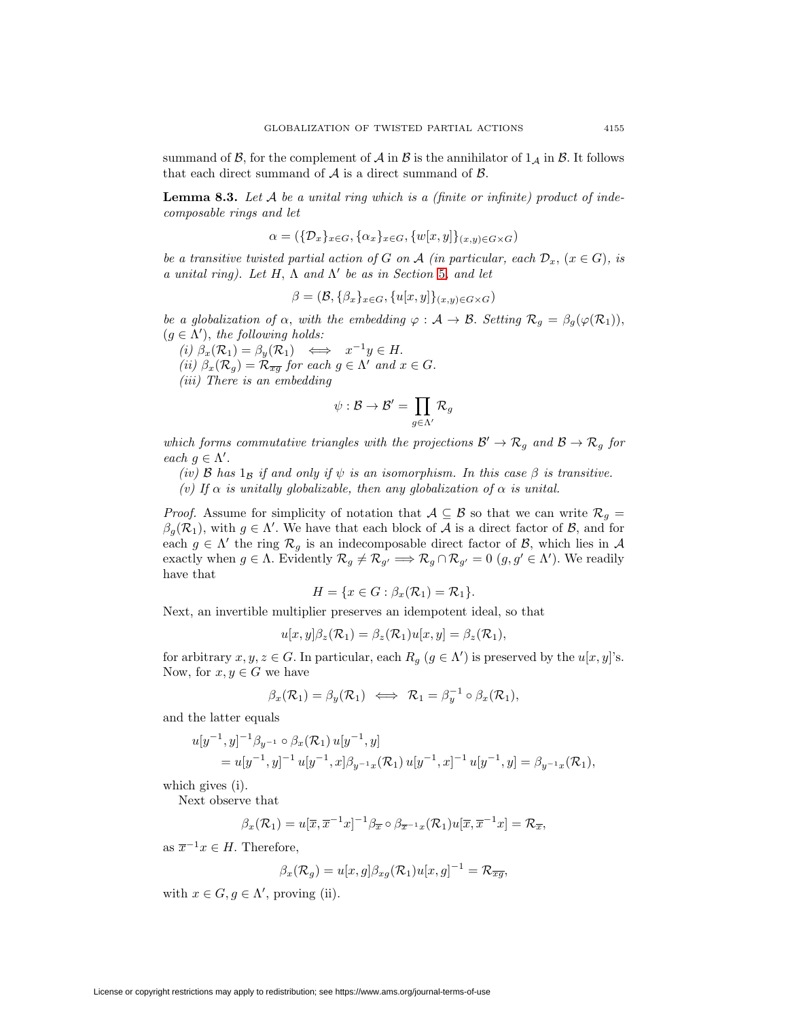<span id="page-18-0"></span>summand of  $\beta$ , for the complement of  $\mathcal A$  in  $\mathcal B$  is the annihilator of  $1_{\mathcal A}$  in  $\beta$ . It follows that each direct summand of  $A$  is a direct summand of  $B$ .

**Lemma 8.3.** Let  $A$  be a unital ring which is a (finite or infinite) product of indecomposable rings and let

$$
\alpha = (\{\mathcal{D}_x\}_{x \in G}, \{\alpha_x\}_{x \in G}, \{w[x, y]\}_{(x, y) \in G \times G})
$$

be a transitive twisted partial action of G on A (in particular, each  $\mathcal{D}_x$ ,  $(x \in G)$ , is a unital ring). Let H,  $\Lambda$  and  $\Lambda'$  be as in Section [5](#page-7-0), and let

$$
\beta = (\mathcal{B}, \{\beta_x\}_{x \in G}, \{u[x, y]\}_{(x, y) \in G \times G})
$$

be a globalization of  $\alpha$ , with the embedding  $\varphi : A \to B$ . Setting  $\mathcal{R}_g = \beta_g(\varphi(\mathcal{R}_1)),$  $(g \in \Lambda')$ , the following holds:

(i)  $\beta_x(\mathcal{R}_1) = \beta_y(\mathcal{R}_1) \iff x^{-1}y \in H.$ (ii)  $\beta_x(\mathcal{R}_q) = \mathcal{R}_{\overline{x}\overline{q}}$  for each  $g \in \Lambda'$  and  $x \in G$ . (iii) There is an embedding

$$
\psi: \mathcal{B} \to \mathcal{B}' = \prod_{g \in \Lambda'} \mathcal{R}_g
$$

which forms commutative triangles with the projections  $\mathcal{B}' \to \mathcal{R}_g$  and  $\mathcal{B} \to \mathcal{R}_g$  for each  $g \in \Lambda'$ .

(iv) B has  $1_B$  if and only if  $\psi$  is an isomorphism. In this case  $\beta$  is transitive.

(v) If  $\alpha$  is unitally globalizable, then any globalization of  $\alpha$  is unital.

*Proof.* Assume for simplicity of notation that  $A \subseteq B$  so that we can write  $\mathcal{R}_g =$  $\beta_g(\mathcal{R}_1)$ , with  $g \in \Lambda'$ . We have that each block of A is a direct factor of B, and for each  $g \in \Lambda'$  the ring  $\mathcal{R}_g$  is an indecomposable direct factor of  $\mathcal{B}$ , which lies in  $\mathcal{A}$ exactly when  $g \in \Lambda$ . Evidently  $\mathcal{R}_g \neq \mathcal{R}_{g'} \Longrightarrow \mathcal{R}_g \cap \mathcal{R}_{g'} = 0$   $(g, g' \in \Lambda')$ . We readily have that

$$
H = \{x \in G : \beta_x(\mathcal{R}_1) = \mathcal{R}_1\}.
$$

Next, an invertible multiplier preserves an idempotent ideal, so that

$$
u[x,y]\beta_z(\mathcal{R}_1) = \beta_z(\mathcal{R}_1)u[x,y] = \beta_z(\mathcal{R}_1),
$$

for arbitrary  $x, y, z \in G$ . In particular, each  $R_g$   $(g \in \Lambda')$  is preserved by the  $u[x, y]$ 's. Now, for  $x, y \in G$  we have

$$
\beta_x(\mathcal{R}_1) = \beta_y(\mathcal{R}_1) \iff \mathcal{R}_1 = \beta_y^{-1} \circ \beta_x(\mathcal{R}_1),
$$

and the latter equals

$$
u[y^{-1}, y]^{-1} \beta_{y^{-1}} \circ \beta_x(\mathcal{R}_1) u[y^{-1}, y] = u[y^{-1}, y]^{-1} u[y^{-1}, x] \beta_{y^{-1}x}(\mathcal{R}_1) u[y^{-1}, x]^{-1} u[y^{-1}, y] = \beta_{y^{-1}x}(\mathcal{R}_1),
$$

which gives (i).

Next observe that

$$
\beta_x(\mathcal{R}_1) = u[\overline{x}, \overline{x}^{-1}x]^{-1} \beta_{\overline{x}} \circ \beta_{\overline{x}^{-1}x}(\mathcal{R}_1) u[\overline{x}, \overline{x}^{-1}x] = \mathcal{R}_{\overline{x}},
$$

as  $\overline{x}^{-1}x \in H$ . Therefore,

$$
\beta_x(\mathcal{R}_g) = u[x, g] \beta_{xg}(\mathcal{R}_1) u[x, g]^{-1} = \mathcal{R}_{\overline{xg}},
$$

with  $x \in G, g \in \Lambda'$ , proving (ii).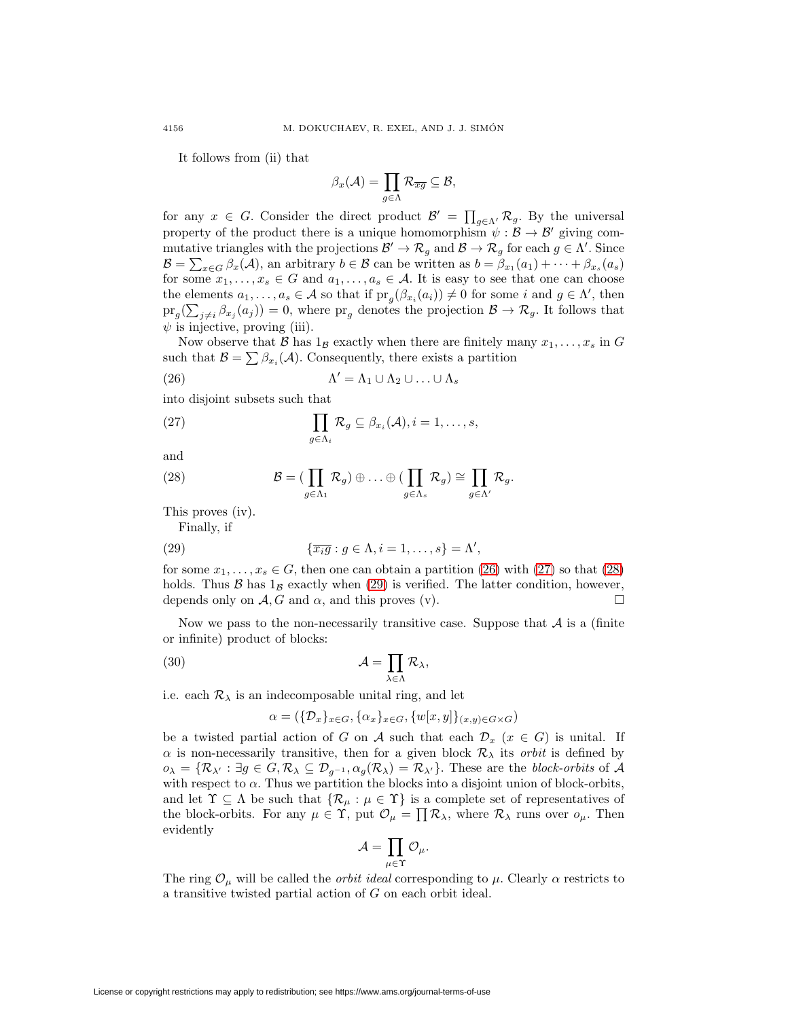It follows from (ii) that

<span id="page-19-1"></span>
$$
\beta_x(\mathcal{A}) = \prod_{g \in \Lambda} \mathcal{R}_{\overline{xg}} \subseteq \mathcal{B},
$$

for any  $x \in G$ . Consider the direct product  $\mathcal{B}' = \prod_{g \in \Lambda'} \mathcal{R}_g$ . By the universal property of the product there is a unique homomorphism  $\psi : \mathcal{B} \to \mathcal{B}'$  giving commutative triangles with the projections  $\mathcal{B}' \to \mathcal{R}_g$  and  $\mathcal{B} \to \mathcal{R}_g$  for each  $g \in \Lambda'$ . Since  $\mathcal{B} = \sum_{x \in G} \beta_x(\mathcal{A})$ , an arbitrary  $b \in \mathcal{B}$  can be written as  $b = \beta_{x_1}(a_1) + \cdots + \beta_{x_s}(a_s)$ for some  $x_1, \ldots, x_s \in G$  and  $a_1, \ldots, a_s \in A$ . It is easy to see that one can choose the elements  $a_1, \ldots, a_s \in \mathcal{A}$  so that if  $\text{pr}_g(\beta_{x_i}(a_i)) \neq 0$  for some i and  $g \in \Lambda'$ , then  $\operatorname{pr}_g(\sum_{j\neq i} \beta_{x_j}(a_j)) = 0$ , where  $\operatorname{pr}_g$  denotes the projection  $\mathcal{B} \to \mathcal{R}_g$ . It follows that  $\psi$  is injective, proving (iii).

Now observe that B has  $1_B$  exactly when there are finitely many  $x_1, \ldots, x_s$  in G such that  $\mathcal{B} = \sum \beta_{x_i}(\mathcal{A})$ . Consequently, there exists a partition

(26) 
$$
\Lambda' = \Lambda_1 \cup \Lambda_2 \cup \ldots \cup \Lambda_s
$$

<span id="page-19-2"></span>into disjoint subsets such that

(27) 
$$
\prod_{g \in \Lambda_i} \mathcal{R}_g \subseteq \beta_{x_i}(\mathcal{A}), i = 1, \ldots, s,
$$

<span id="page-19-3"></span>and

(28) 
$$
\mathcal{B} = (\prod_{g \in \Lambda_1} \mathcal{R}_g) \oplus \ldots \oplus (\prod_{g \in \Lambda_s} \mathcal{R}_g) \cong \prod_{g \in \Lambda'} \mathcal{R}_g.
$$

This proves (iv).

<span id="page-19-4"></span>Finally, if (29)  ${\overline{x_i g} : g \in \Lambda, i = 1, ..., s} = \Lambda',$ 

for some  $x_1, \ldots, x_s \in G$ , then one can obtain a partition [\(26\)](#page-19-1) with [\(27\)](#page-19-2) so that [\(28\)](#page-19-3) holds. Thus B has  $1_B$  exactly when [\(29\)](#page-19-4) is verified. The latter condition, however, depends only on A G and  $\alpha$ , and this proves (y). depends only on  $A, G$  and  $\alpha$ , and this proves (v).

Now we pass to the non-necessarily transitive case. Suppose that  $A$  is a (finite or infinite) product of blocks:

(30) 
$$
\mathcal{A} = \prod_{\lambda \in \Lambda} \mathcal{R}_{\lambda},
$$

i.e. each  $\mathcal{R}_{\lambda}$  is an indecomposable unital ring, and let

<span id="page-19-5"></span> $\alpha = (\{\mathcal{D}_x\}_{x \in G}, \{\alpha_x\}_{x \in G}, \{w[x, y]\}_{(x, y) \in G \times G})$ 

be a twisted partial action of G on A such that each  $\mathcal{D}_x$  ( $x \in G$ ) is unital. If  $\alpha$  is non-necessarily transitive, then for a given block  $\mathcal{R}_{\lambda}$  its *orbit* is defined by  $o_\lambda = \{ \mathcal{R}_{\lambda'} : \exists g \in G, \mathcal{R}_\lambda \subseteq \mathcal{D}_{g^{-1}}, \alpha_g(\mathcal{R}_\lambda) = \mathcal{R}_{\lambda'} \}.$  These are the block-orbits of A with respect to  $\alpha$ . Thus we partition the blocks into a disjoint union of block-orbits, and let  $\Upsilon \subseteq \Lambda$  be such that  $\{\mathcal{R}_{\mu} : \mu \in \Upsilon\}$  is a complete set of representatives of the block-orbits. For any  $\mu \in \Upsilon$ , put  $\mathcal{O}_{\mu} = \prod \mathcal{R}_{\lambda}$ , where  $\mathcal{R}_{\lambda}$  runs over  $o_{\mu}$ . Then evidently

$$
\mathcal{A}=\prod_{\mu\in\Upsilon}\mathcal{O}_\mu.
$$

<span id="page-19-0"></span>The ring  $\mathcal{O}_{\mu}$  will be called the *orbit ideal* corresponding to  $\mu$ . Clearly  $\alpha$  restricts to a transitive twisted partial action of G on each orbit ideal.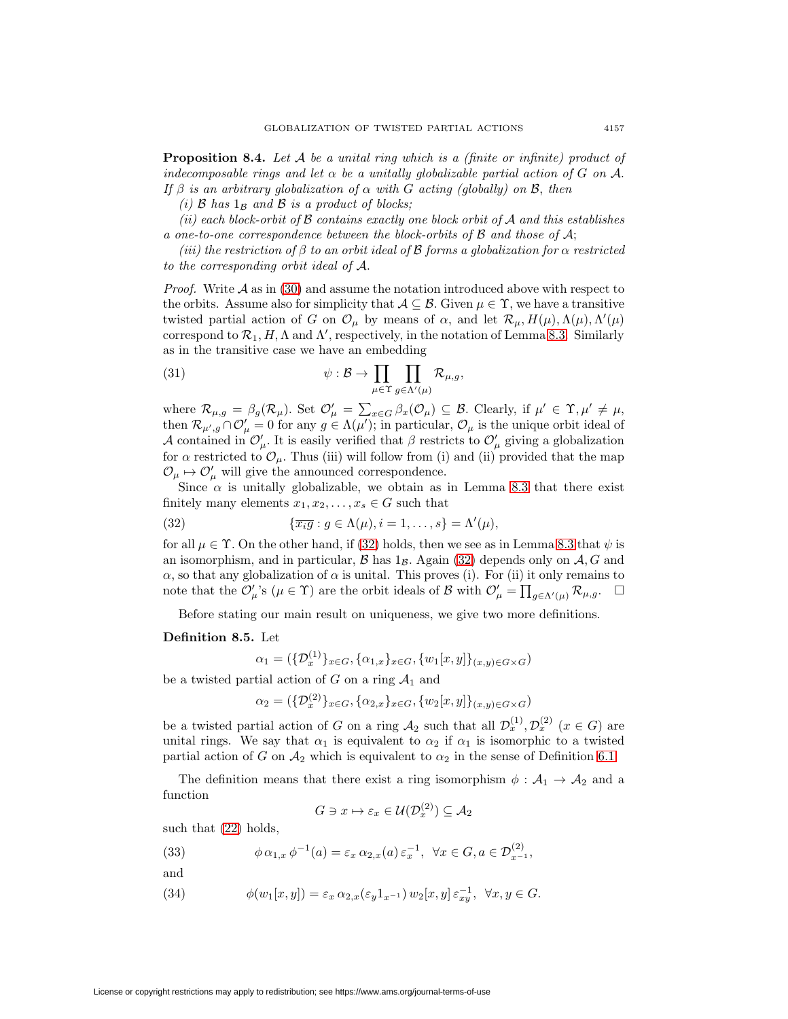**Proposition 8.4.** Let A be a unital ring which is a (finite or infinite) product of indecomposable rings and let  $\alpha$  be a unitally globalizable partial action of G on A. If  $\beta$  is an arbitrary globalization of  $\alpha$  with G acting (globally) on B, then

(i)  $\beta$  has  $1_{\beta}$  and  $\beta$  is a product of blocks;

(ii) each block-orbit of  $\beta$  contains exactly one block orbit of  $\mathcal A$  and this establishes a one-to-one correspondence between the block-orbits of  $\beta$  and those of  $\mathcal{A}$ ;

(iii) the restriction of β to an orbit ideal of **B** forms a globalization for  $\alpha$  restricted to the corresponding orbit ideal of A.

*Proof.* Write  $A$  as in [\(30\)](#page-19-5) and assume the notation introduced above with respect to the orbits. Assume also for simplicity that  $A \subseteq \mathcal{B}$ . Given  $\mu \in \Upsilon$ , we have a transitive twisted partial action of G on  $\mathcal{O}_{\mu}$  by means of  $\alpha$ , and let  $\mathcal{R}_{\mu}$ ,  $H(\mu)$ ,  $\Lambda(\mu)$ ,  $\Lambda'(\mu)$ correspond to  $\mathcal{R}_1, H, \Lambda$  and  $\Lambda'$ , respectively, in the notation of Lemma [8.3.](#page-18-0) Similarly as in the transitive case we have an embedding

(31) 
$$
\psi : \mathcal{B} \to \prod_{\mu \in \Upsilon} \prod_{g \in \Lambda'(\mu)} \mathcal{R}_{\mu,g},
$$

where  $\mathcal{R}_{\mu,g} = \beta_g(\mathcal{R}_\mu)$ . Set  $\mathcal{O}'_\mu = \sum_{x \in G} \beta_x(\mathcal{O}_\mu) \subseteq \mathcal{B}$ . Clearly, if  $\mu' \in \Upsilon, \mu' \neq \mu$ , then  $\mathcal{R}_{\mu',g}\cap\mathcal{O}'_\mu=0$  for any  $g\in\Lambda(\mu');$  in particular,  $\mathcal{O}_\mu$  is the unique orbit ideal of A contained in  $\mathcal{O}'_\mu$ . It is easily verified that  $\beta$  restricts to  $\mathcal{O}'_\mu$  giving a globalization for  $\alpha$  restricted to  $\mathcal{O}_{\mu}$ . Thus (iii) will follow from (i) and (ii) provided that the map  $\mathcal{O}_{\mu} \mapsto \mathcal{O}'_{\mu}$  will give the announced correspondence.

Since  $\alpha$  is unitally globalizable, we obtain as in Lemma [8.3](#page-18-0) that there exist finitely many elements  $x_1, x_2, \ldots, x_s \in G$  such that

(32) 
$$
\{\overline{x_i g} : g \in \Lambda(\mu), i = 1, \ldots, s\} = \Lambda'(\mu),
$$

for all  $\mu \in \Upsilon$ . On the other hand, if [\(32\)](#page-20-0) holds, then we see as in Lemma [8.3](#page-18-0) that  $\psi$  is an isomorphism, and in particular,  $\mathcal B$  has  $1_B$ . Again [\(32\)](#page-20-0) depends only on  $\mathcal A$ , G and  $\alpha$ , so that any globalization of  $\alpha$  is unital. This proves (i). For (ii) it only remains to note that the  $\mathcal{O}'_{\mu}$ 's  $(\mu \in \Upsilon)$  are the orbit ideals of B with  $\mathcal{O}'_{\mu} = \prod_{g \in \Lambda'(\mu)} \mathcal{R}_{\mu,g}$ .

Before stating our main result on uniqueness, we give two more definitions.

## <span id="page-20-1"></span>**Definition 8.5.** Let

<span id="page-20-0"></span>
$$
\alpha_1 = (\{\mathcal{D}_x^{(1)}\}_{x \in G}, \{\alpha_{1,x}\}_{x \in G}, \{w_1[x, y]\}_{(x, y) \in G \times G})
$$

be a twisted partial action of G on a ring  $A_1$  and

 $\alpha_2 = (\{\mathcal{D}_x^{(2)}\}_{x \in G}, \{\alpha_{2,x}\}_{x \in G}, \{w_2[x,y]\}_{(x,y) \in G \times G})$ 

be a twisted partial action of G on a ring  $\mathcal{A}_2$  such that all  $\mathcal{D}_x^{(1)}, \mathcal{D}_x^{(2)}$   $(x \in G)$  are unital rings. We say that  $\alpha_1$  is equivalent to  $\alpha_2$  if  $\alpha_1$  is isomorphic to a twisted partial action of G on  $\mathcal{A}_2$  which is equivalent to  $\alpha_2$  in the sense of Definition [6.1.](#page-9-3)

The definition means that there exist a ring isomorphism  $\phi : A_1 \to A_2$  and a function

$$
G \ni x \mapsto \varepsilon_x \in \mathcal{U}(\mathcal{D}_x^{(2)}) \subseteq \mathcal{A}_2
$$

such that [\(22\)](#page-15-2) holds,

(33) 
$$
\phi \alpha_{1,x} \phi^{-1}(a) = \varepsilon_x \alpha_{2,x}(a) \varepsilon_x^{-1}, \ \forall x \in G, a \in \mathcal{D}_{x^{-1}}^{(2)},
$$

and

(34) 
$$
\phi(w_1[x,y]) = \varepsilon_x \alpha_{2,x}(\varepsilon_y 1_{x^{-1}}) w_2[x,y] \varepsilon_{xy}^{-1}, \ \forall x, y \in G.
$$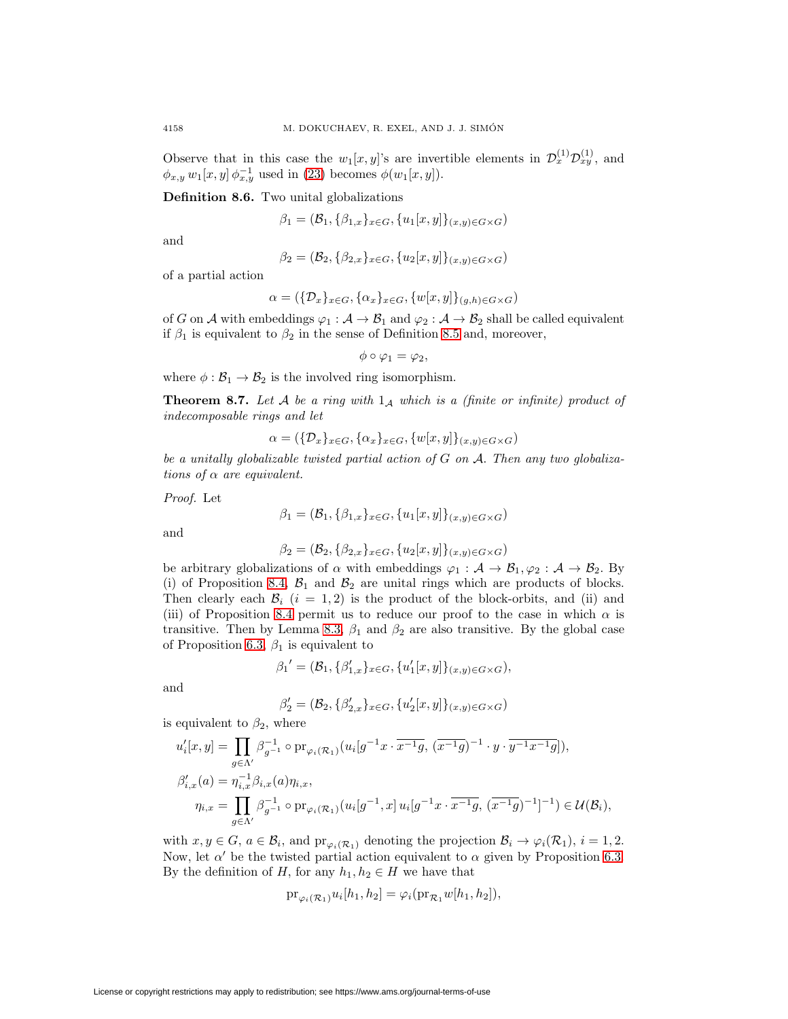Observe that in this case the  $w_1[x, y]$ 's are invertible elements in  $\mathcal{D}_x^{(1)} \mathcal{D}_{xy}^{(1)}$ , and  $\phi_{x,y}$   $w_1[x, y] \phi_{x,y}^{-1}$  used in [\(23\)](#page-15-1) becomes  $\phi(w_1[x, y])$ .

**Definition 8.6.** Two unital globalizations

$$
\beta_1 = (\mathcal{B}_1, \{\beta_{1,x}\}_{x \in G}, \{u_1[x, y]\}_{(x,y) \in G \times G})
$$

and

$$
\beta_2 = (\mathcal{B}_2, \{\beta_{2,x}\}_{x \in G}, \{u_2[x,y]\}_{(x,y) \in G \times G})
$$

of a partial action

$$
\alpha = (\{\mathcal{D}_x\}_{x \in G}, \{\alpha_x\}_{x \in G}, \{w[x, y]\}_{(g, h) \in G \times G})
$$

of G on A with embeddings  $\varphi_1 : A \to B_1$  and  $\varphi_2 : A \to B_2$  shall be called equivalent if  $\beta_1$  is equivalent to  $\beta_2$  in the sense of Definition [8.5](#page-20-1) and, moreover,

$$
\phi \circ \varphi_1 = \varphi_2,
$$

where  $\phi : \mathcal{B}_1 \to \mathcal{B}_2$  is the involved ring isomorphism.

**Theorem 8.7.** Let  $A$  be a ring with  $1_A$  which is a (finite or infinite) product of indecomposable rings and let

$$
\alpha = (\{\mathcal{D}_x\}_{x \in G}, \{\alpha_x\}_{x \in G}, \{w[x, y]\}_{(x, y) \in G \times G})
$$

be a unitally globalizable twisted partial action of G on A. Then any two globalizations of  $\alpha$  are equivalent.

Proof. Let

$$
\beta_1 = (\mathcal{B}_1, \{\beta_{1,x}\}_{x \in G}, \{u_1[x,y]\}_{(x,y) \in G \times G})
$$

and

$$
\beta_2 = (\mathcal{B}_2, \{\beta_{2,x}\}_{x \in G}, \{u_2[x,y]\}_{(x,y) \in G \times G})
$$

be arbitrary globalizations of  $\alpha$  with embeddings  $\varphi_1 : A \to B_1, \varphi_2 : A \to B_2$ . By (i) of Proposition [8.4,](#page-19-0)  $\mathcal{B}_1$  and  $\mathcal{B}_2$  are unital rings which are products of blocks. Then clearly each  $\mathcal{B}_i$  (i = 1,2) is the product of the block-orbits, and (ii) and (iii) of Proposition [8.4](#page-19-0) permit us to reduce our proof to the case in which  $\alpha$  is transitive. Then by Lemma [8.3,](#page-18-0)  $\beta_1$  and  $\beta_2$  are also transitive. By the global case of Proposition [6.3,](#page-11-1)  $\beta_1$  is equivalent to

$$
\beta_1' = (\mathcal{B}_1, \{\beta'_{1,x}\}_{x \in G}, \{u'_1[x,y]\}_{(x,y) \in G \times G}),
$$

and

$$
\beta_2' = (\mathcal{B}_2, \{\beta_{2,x}'\}_{x \in G}, \{u_2'[x, y]\}_{(x, y) \in G \times G})
$$

is equivalent to  $\beta_2$ , where

$$
\begin{split} u_i'[x,y] &= \prod_{g \in \Lambda'} \beta_{g^{-1}}^{-1} \circ \mathrm{pr}_{\varphi_i(\mathcal{R}_1)}(u_i[g^{-1}x \cdot \overline{x^{-1}g}, (\overline{x^{-1}g})^{-1} \cdot y \cdot \overline{y^{-1}x^{-1}g}]), \\ \beta_{i,x}'(a) &= \eta_{i,x}^{-1} \beta_{i,x}(a) \eta_{i,x}, \\ \eta_{i,x} &= \prod_{g \in \Lambda'} \beta_{g^{-1}}^{-1} \circ \mathrm{pr}_{\varphi_i(\mathcal{R}_1)}(u_i[g^{-1},x] \, u_i[g^{-1}x \cdot \overline{x^{-1}g}, (\overline{x^{-1}g})^{-1}]^{-1}) \in \mathcal{U}(\mathcal{B}_i), \end{split}
$$

with  $x, y \in G$ ,  $a \in \mathcal{B}_i$ , and  $\text{pr}_{\varphi_i(\mathcal{R}_1)}$  denoting the projection  $\mathcal{B}_i \to \varphi_i(\mathcal{R}_1)$ ,  $i = 1, 2$ . Now, let  $\alpha'$  be the twisted partial action equivalent to  $\alpha$  given by Proposition [6.3.](#page-11-1) By the definition of H, for any  $h_1, h_2 \in H$  we have that

$$
\mathrm{pr}_{\varphi_i(\mathcal{R}_1)} u_i[h_1, h_2] = \varphi_i(\mathrm{pr}_{\mathcal{R}_1} w[h_1, h_2]),
$$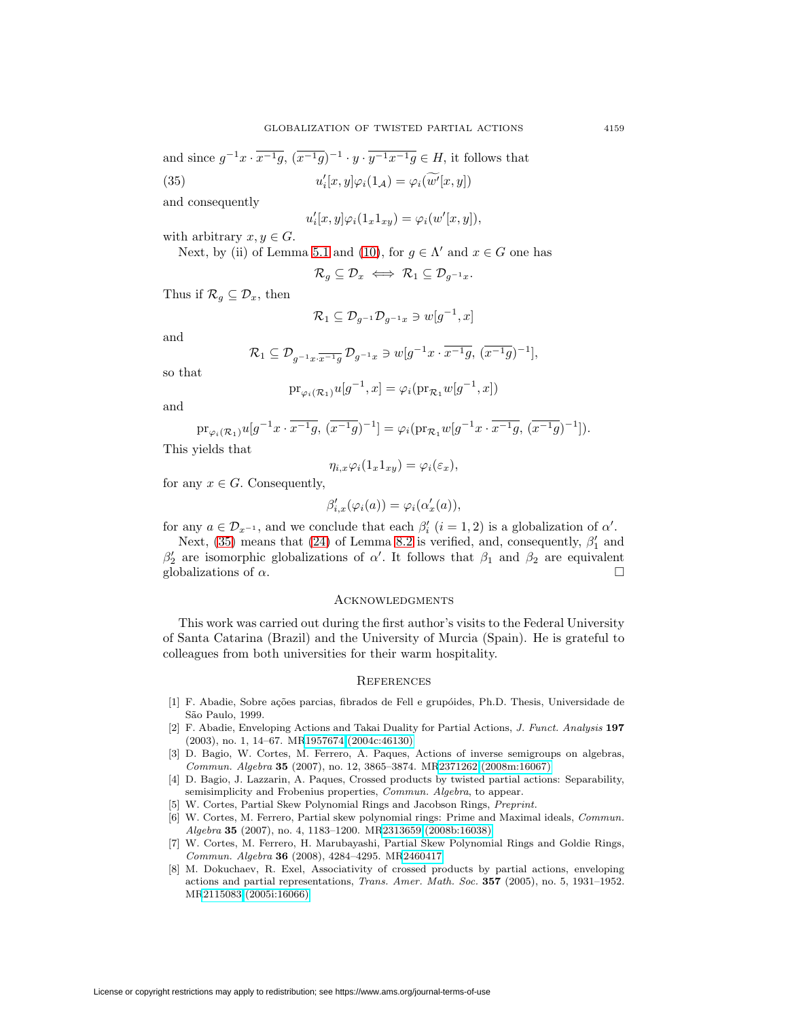and since  $g^{-1}x \cdot \overline{x^{-1}g}$ ,  $(\overline{x^{-1}g})^{-1} \cdot y \cdot \overline{y^{-1}x^{-1}g} \in H$ , it follows that  $(35)$  $\varphi_i[x,y] \varphi_i(1_{\mathcal{A}}) = \varphi_i(w'[x,y])$ 

and consequently

<span id="page-22-8"></span>
$$
u_i'[x, y]\varphi_i(1_x1_{xy}) = \varphi_i(w'[x, y]),
$$

with arbitrary  $x, y \in G$ .

Next, by (ii) of Lemma [5.1](#page-8-0) and [\(10\)](#page-8-1), for  $q \in \Lambda'$  and  $x \in G$  one has

$$
\mathcal{R}_g\subseteq \mathcal{D}_x \iff \mathcal{R}_1\subseteq \mathcal{D}_{g^{-1}x}.
$$

Thus if  $\mathcal{R}_q \subseteq \mathcal{D}_x$ , then

$$
\mathcal{R}_1\subseteq \mathcal{D}_{g^{-1}}\mathcal{D}_{g^{-1}x}\ni w[g^{-1},x]
$$

and

$$
\mathcal{R}_1 \subseteq \mathcal{D}_{g^{-1}x \cdot \overline{x^{-1}g}} \mathcal{D}_{g^{-1}x} \ni w[g^{-1}x \cdot \overline{x^{-1}g}, (\overline{x^{-1}g})^{-1}],
$$

so that

$$
\mathrm{pr}_{\varphi_i(\mathcal{R}_1)} u[g^{-1}, x] = \varphi_i(\mathrm{pr}_{\mathcal{R}_1} w[g^{-1}, x])
$$

and

$$
\text{pr}_{\varphi_i(\mathcal{R}_1)} u[g^{-1}x \cdot \overline{x^{-1}g}, \, (\overline{x^{-1}g})^{-1}] = \varphi_i(\text{pr}_{\mathcal{R}_1} w[g^{-1}x \cdot \overline{x^{-1}g}, \, (\overline{x^{-1}g})^{-1}]).
$$

This yields that

$$
\eta_{i,x}\varphi_i(1_x1_{xy})=\varphi_i(\varepsilon_x),
$$

for any  $x \in G$ . Consequently,

$$
\beta'_{i,x}(\varphi_i(a)) = \varphi_i(\alpha'_x(a)),
$$

for any  $a \in \mathcal{D}_{x^{-1}}$ , and we conclude that each  $\beta_i'$   $(i = 1, 2)$  is a globalization of  $\alpha'$ .

Next, [\(35\)](#page-22-8) means that [\(24\)](#page-16-1) of Lemma [8.2](#page-16-2) is verified, and, consequently,  $\beta'_1$  and  $β'_{2}$  are isomorphic globalizations of α'. It follows that  $β_1$  and  $β_2$  are equivalent globalizations of  $\alpha$ .

#### **ACKNOWLEDGMENTS**

This work was carried out during the first author's visits to the Federal University of Santa Catarina (Brazil) and the University of Murcia (Spain). He is grateful to colleagues from both universities for their warm hospitality.

### **REFERENCES**

- <span id="page-22-0"></span>[1] F. Abadie, Sobre ações parcias, fibrados de Fell e grupóides, Ph.D. Thesis, Universidade de São Paulo, 1999.
- <span id="page-22-1"></span>[2] F. Abadie, Enveloping Actions and Takai Duality for Partial Actions, J. Funct. Analysis **197** (2003), no. 1, 14–67. M[R1957674 \(2004c:46130\)](http://www.ams.org/mathscinet-getitem?mr=1957674)
- <span id="page-22-4"></span>[3] D. Bagio, W. Cortes, M. Ferrero, A. Paques, Actions of inverse semigroups on algebras, Commun. Algebra **35** (2007), no. 12, 3865–3874. M[R2371262 \(2008m:16067\)](http://www.ams.org/mathscinet-getitem?mr=2371262)
- <span id="page-22-3"></span>[4] D. Bagio, J. Lazzarin, A. Paques, Crossed products by twisted partial actions: Separability, semisimplicity and Frobenius properties, *Commun. Algebra*, to appear.
- <span id="page-22-5"></span>[5] W. Cortes, Partial Skew Polynomial Rings and Jacobson Rings, Preprint.
- <span id="page-22-7"></span><span id="page-22-6"></span>[6] W. Cortes, M. Ferrero, Partial skew polynomial rings: Prime and Maximal ideals, Commun. Algebra **35** (2007), no. 4, 1183–1200. M[R2313659 \(2008b:16038\)](http://www.ams.org/mathscinet-getitem?mr=2313659)
- [7] W. Cortes, M. Ferrero, H. Marubayashi, Partial Skew Polynomial Rings and Goldie Rings, Commun. Algebra **36** (2008), 4284–4295. M[R2460417](http://www.ams.org/mathscinet-getitem?mr=2460417)
- <span id="page-22-2"></span>[8] M. Dokuchaev, R. Exel, Associativity of crossed products by partial actions, enveloping actions and partial representations, Trans. Amer. Math. Soc. **357** (2005), no. 5, 1931–1952. M[R2115083 \(2005i:16066\)](http://www.ams.org/mathscinet-getitem?mr=2115083)